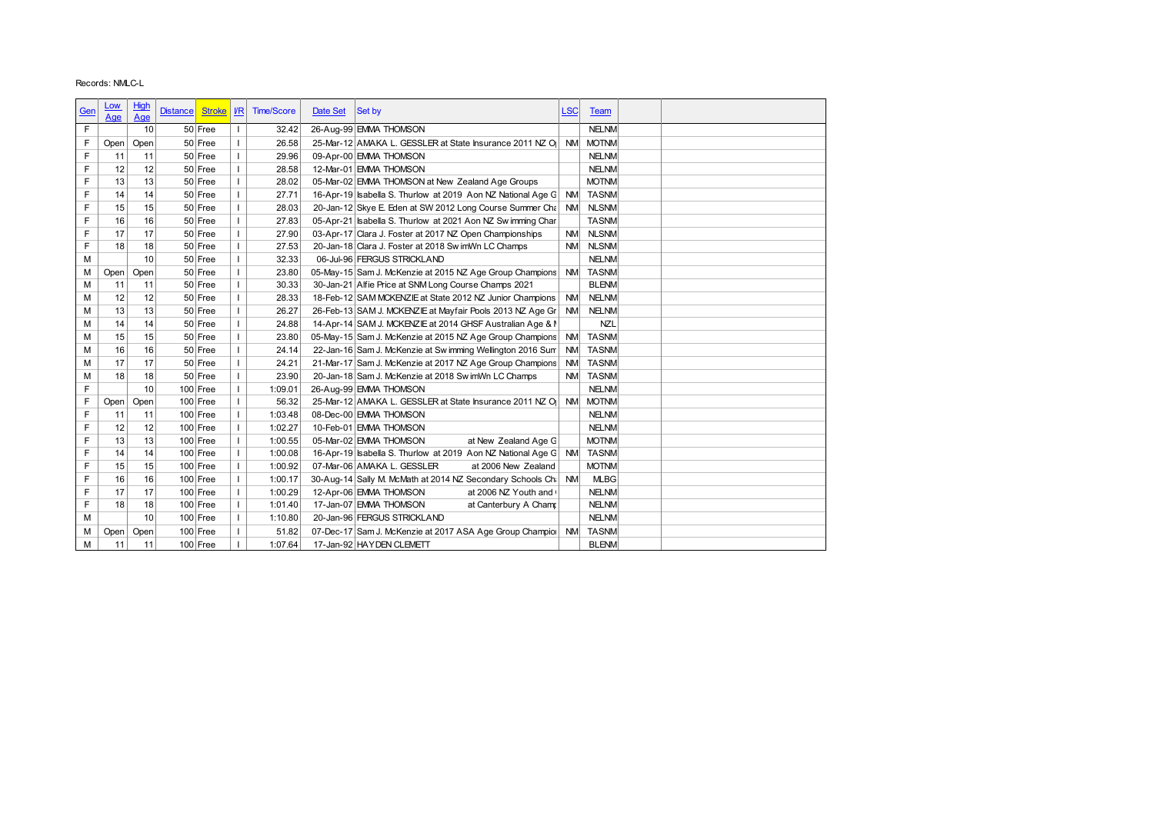|            | Records: NMLC-L |            |                 |                          |                          |                   |          |                                                                                                |            |              |  |
|------------|-----------------|------------|-----------------|--------------------------|--------------------------|-------------------|----------|------------------------------------------------------------------------------------------------|------------|--------------|--|
|            |                 |            |                 |                          |                          |                   |          |                                                                                                |            |              |  |
| <u>Gen</u> | <u>Low</u>      | High       | <b>Distance</b> | <b>Stroke</b>            | $U$                      | <b>Time/Score</b> | Date Set | Set by                                                                                         | <b>LSC</b> | <b>Team</b>  |  |
|            | Age             | Age        |                 |                          |                          |                   |          |                                                                                                |            |              |  |
| F          |                 | 10         |                 | 50 Free                  | $\overline{\phantom{a}}$ | 32.42             |          | 26-Aug-99 EMMA THOMSON                                                                         |            | <b>NELNM</b> |  |
| F          | Open            | Open       |                 | 50 Free                  | $\overline{1}$           | 26.58             |          | 25-Mar-12 AMAKA L. GESSLER at State Insurance 2011 NZ O                                        |            | NM MOTNM     |  |
| F          | 11              | 11         |                 | 50 Free                  | $\mathbf{I}$             | 29.96             |          | 09-Apr-00 EMMA THOMSON                                                                         |            | <b>NELNM</b> |  |
| F          | 12              | 12         |                 | 50 Free                  | $\mathbf{I}$             | 28.58             |          | 12-Mar-01 EMMA THOMSON                                                                         |            | <b>NELNM</b> |  |
| F          | 13              | 13         |                 | 50 Free                  | $\mathbf{I}$             | 28.02             |          | 05-Mar-02 EMMA THOMSON at New Zealand Age Groups                                               |            | <b>MOTNM</b> |  |
| F          | 14              | 14         |                 | 50 Free                  | $\mathbf{I}$             | 27.71             |          | 16-Apr-19 sabella S. Thurlow at 2019 Aon NZ National Age G                                     | <b>NM</b>  | <b>TASNM</b> |  |
| F          | 15              | 15         |                 | 50 Free                  | $\mathbf{I}$             | 28.03             |          | 20-Jan-12 Skye E. Eden at SW 2012 Long Course Summer Cha NM                                    |            | <b>NLSNM</b> |  |
| F          | 16              | 16         |                 | 50 Free                  | $\mathbf{I}$             | 27.83             |          | 05-Apr-21   sabella S. Thurlow at 2021 Aon NZ Sw imming Char                                   |            | <b>TASNM</b> |  |
| F          | 17              | 17         |                 | 50 Free                  | $\mathbf{I}$             | 27.90             |          | 03-Apr-17 Clara J. Foster at 2017 NZ Open Championships                                        | <b>NM</b>  | <b>NLSNM</b> |  |
| F          | 18              | 18         |                 | 50 Free                  | $\mathbf{I}$             | 27.53             |          | 20-Jan-18 Clara J. Foster at 2018 Sw imWn LC Champs                                            | <b>NM</b>  | <b>NLSNM</b> |  |
| М          |                 | 10         |                 | 50 Free                  | $\mathbf{I}$             | 32.33             |          | 06-Jul-96 FERGUS STRICKLAND                                                                    |            | <b>NELNM</b> |  |
| М          | Open            | Open       |                 | 50 Free                  | $\mathbf{I}$             | 23.80             |          | 05-May-15 Sam J. McKenzie at 2015 NZ Age Group Champions                                       |            | NM TASNM     |  |
| M          | 11              | 11         |                 | 50 Free                  | $\mathbf{I}$             | 30.33             |          | 30-Jan-21 Alfie Price at SNM Long Course Champs 2021                                           |            | <b>BLENM</b> |  |
| M          | 12              | 12         |                 | 50 Free                  | $\mathbf{I}$             | 28.33             |          | 18-Feb-12 SAM MCKENZIE at State 2012 NZ Junior Champions                                       | NM         | <b>NELNM</b> |  |
| M          | 13              | 13         |                 | 50 Free                  | $\mathbf{I}$             | 26.27             |          | 26-Feb-13 SAM J. MCKENZIE at Mayfair Pools 2013 NZ Age Gr                                      | <b>NM</b>  | <b>NELNM</b> |  |
| M          | 14              | 14         |                 | 50 Free                  | $\mathbf{I}$             | 24.88             |          | 14-Apr-14 SAM J. MCKENZIE at 2014 GHSF Australian Age & N                                      |            | <b>NZL</b>   |  |
| M          | 15              | 15         |                 | 50 Free                  | $\mathbf{I}$             | 23.80             |          | 05-May-15 Sam J. McKenzie at 2015 NZ Age Group Champions                                       |            | NM TASNM     |  |
| M          | 16              | 16         |                 | 50 Free                  | $\mathbf{I}$             | 24.14             |          | 22-Jan-16 Sam J. McKenzie at Sw imming Wellington 2016 Sum                                     | <b>NM</b>  | <b>TASNM</b> |  |
|            | 17              | 17         |                 | 50 Free                  | $\mathbf{I}$             | 24.21             |          | 21-Mar-17 Sam J. McKenzie at 2017 NZ Age Group Champions                                       | <b>NM</b>  | <b>TASNM</b> |  |
| M          |                 |            |                 | 50 Free                  | $\mathbf{I}$             | 23.90             |          | 20-Jan-18 Sam J. McKenzie at 2018 Sw imWn LC Champs                                            |            | NM TASNM     |  |
| M          | 18              | 18         |                 |                          | $\mathbf{I}$             | 1:09.01           |          | 26-Aug-99 EMMA THOMSON                                                                         |            | <b>NELNM</b> |  |
| F          |                 | 10         | 100 Free        |                          |                          |                   |          | 25-Mar-12 AMAKA L. GESSLER at State Insurance 2011 NZ O                                        |            | NM MOTNM     |  |
| F          | Open            | Open       | $100$ Free      |                          | $\mathbf{I}$             | 56.32             |          |                                                                                                |            |              |  |
| F          | 11              | 11         |                 | $100$ Free               | $\mathbf{I}$             | 1:03.48           |          | 08-Dec-00 EMMA THOMSON                                                                         |            | <b>NELNM</b> |  |
| F          | 12              | 12         | 100 Free        |                          | $\mathbf{I}$             | 1:02.27           |          | 10-Feb-01 EMMA THOMSON                                                                         |            | <b>NELNM</b> |  |
| F          | 13              | 13         |                 | $100$ Free               |                          | 1:00.55           |          | at New Zealand Age G<br>05-Mar-02 EMMA THOMSON                                                 |            | <b>MOTNM</b> |  |
| F          | 14              | 14         |                 | $100$ Free               | $\mathbf{I}$             | 1:00.08           |          | 16-Apr-19 Isabella S. Thurlow at 2019 Aon NZ National Age G NM TASNM                           |            |              |  |
| F          | 15              | 15         |                 | $100$ Free               |                          | 1:00.92           |          | 07-Mar-06 AMAKA L. GESSLER<br>at 2006 New Zealand                                              |            | <b>MOTNM</b> |  |
| F          | 16              | 16         | $100$ Free      |                          | $\mathbf{I}$             | 1:00.17           |          | 30-Aug-14 Sally M. McMath at 2014 NZ Secondary Schools Chi NM                                  |            | <b>MLBG</b>  |  |
| F          | 17              | 17         |                 | $100$ Free               |                          | 1:00.29           |          | 12-Apr-06 EMMA THOMSON<br>at 2006 NZ Youth and (                                               |            | <b>NELNM</b> |  |
| F          | 18              | 18         |                 | $100$ Free               |                          | 1:01.40           |          | 17-Jan-07 EMMA THOMSON<br>at Canterbury A Champ                                                |            | <b>NELNM</b> |  |
| М          |                 | 10         |                 | $100$ Free               | $\mathbf{I}$             | 1:10.80           |          | 20-Jan-96 FERGUS STRICKLAND                                                                    |            | <b>NELNM</b> |  |
| М<br>M     | Open<br>11      | Open<br>11 |                 | $100$ Free<br>$100$ Free |                          | 51.82<br>1:07.64  |          | 07-Dec-17 Sam J. McKenzie at 2017 ASA Age Group Champiol NM TASNM<br>17-Jan-92 HAY DEN CLEMETT |            | <b>BLENM</b> |  |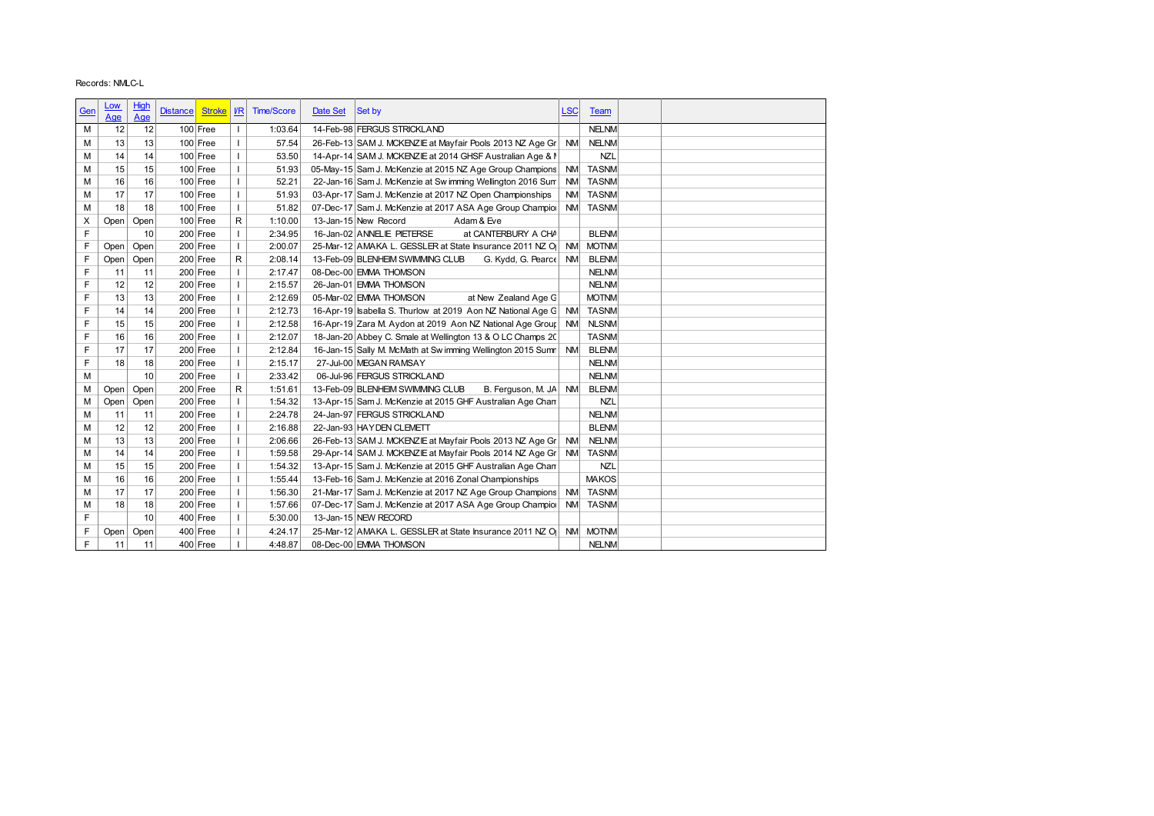|             | Records: NMLC-L |      |                                  |                |                   |          |                                                                      |            |              |
|-------------|-----------------|------|----------------------------------|----------------|-------------------|----------|----------------------------------------------------------------------|------------|--------------|
|             | <u>Low</u>      | High |                                  |                |                   |          |                                                                      |            |              |
| <u>Gen</u>  | Age             | Age  | <b>Stroke</b><br><b>Distance</b> | $\sqrt{R}$     | <b>Time/Score</b> | Date Set | Set by                                                               | <b>LSC</b> | <b>Team</b>  |
| M           | 12              | 12   | $100$ Free                       | T              | 1:03.64           |          | 14-Feb-98 FERGUS STRICKLAND                                          |            | <b>NELNM</b> |
| M           | 13              | 13   | 100 Free                         | $\mathbf{I}$   | 57.54             |          | 26-Feb-13 SAM J. MCKENZIE at Mayfair Pools 2013 NZ Age Gr            | <b>NM</b>  | <b>NELNM</b> |
| М           | 14              | 14   | $100$ Free                       | $\overline{1}$ | 53.50             |          | 14-Apr-14 SAM J. MCKENZIE at 2014 GHSF Australian Age & N            |            | <b>NZL</b>   |
| M           | 15              | 15   | $100$ Free                       | $\mathbf{I}$   | 51.93             |          | 05-May-15 Sam J. McKenzie at 2015 NZ Age Group Champions NM          |            | <b>TASNM</b> |
| М           | 16              | 16   | $100$ Free                       | $\mathbf{I}$   | 52.21             |          | 22-Jan-16 Sam J. McKenzie at Sw imming Wellington 2016 Sum           | NM         | <b>TASNM</b> |
| M           | 17              | 17   | $100$ Free                       | $\mathbf{I}$   | 51.93             |          | 03-Apr-17 Sam J. McKenzie at 2017 NZ Open Championships              | <b>NM</b>  | <b>TASNM</b> |
| M           | 18              | 18   | $100$ Free                       | $\mathbf{I}$   | 51.82             |          | 07-Dec-17 Sam J. McKenzie at 2017 ASA Age Group Champior NM          |            | <b>TASNM</b> |
| X           | Open            | Open | $100$ Free                       | $\mathsf{R}$   | 1:10.00           |          | 13-Jan-15 New Record<br>Adam & Eve                                   |            |              |
| F           |                 | 10   | 200 Free                         | $\mathbf{I}$   | 2:34.95           |          | 16-Jan-02 ANNELIE PIETERSE<br>at CANTERBURY A CHA                    |            | <b>BLENM</b> |
| F           | Open            | Open | $200$ Free                       | $\mathbf{I}$   | 2:00.07           |          | 25-Mar-12 AMAKA L. GESSLER at State Insurance 2011 NZ O NM           |            | <b>MOTNM</b> |
| F           | Open            | Open | 200 Free                         | $\mathsf{R}$   | 2:08.14           |          | 13-Feb-09 BLENHEIM SWIMMING CLUB<br>G. Kydd, G. Pearce NM            |            | <b>BLENM</b> |
| F           | 11              | 11   | $200$ Free                       | $\mathbf{I}$   | 2:17.47           |          | 08-Dec-00 EMMA THOMSON                                               |            | <b>NELNM</b> |
| F           | 12              | 12   | 200 Free                         | $\mathbf{I}$   | 2:15.57           |          | 26-Jan-01 EMMA THOMSON                                               |            | <b>NELNM</b> |
| F           | 13              | 13   | $200$ Free                       | $\overline{1}$ | 2:12.69           |          | 05-Mar-02 EMMA THOMSON<br>at New Zealand Age G                       |            | <b>MOTNM</b> |
| F           | 14              | 14   | $200$ Free                       | $\mathbf{I}$   | 2:12.73           |          | 16-Apr-19 sabella S. Thurlow at 2019 Aon NZ National Age G NM        |            | <b>TASNM</b> |
| F           | 15              | 15   | $200$ Free                       | $\mathbf{I}$   | 2:12.58           |          | 16-Apr-19 Zara M. Aydon at 2019 Aon NZ National Age Group NM         |            | <b>NLSNM</b> |
| F           | 16              | 16   | 200 Free                         | $\mathbf{I}$   | 2:12.07           |          | 18-Jan-20 Abbey C. Smale at Wellington 13 & O LC Champs 20           |            | <b>TASNM</b> |
| F           | 17              | 17   | $200$ Free                       | $\mathbf{I}$   | 2:12.84           |          | 16-Jan-15 Sally M. McMath at Sw imming Wellington 2015 Sumn NM       |            | <b>BLENM</b> |
| F           | 18              | 18   | $200$ Free                       | $\mathbf{I}$   | 2:15.17           |          | 27-Jul-00 MEGAN RAMSAY                                               |            | <b>NELNM</b> |
| M           |                 | 10   | $200$ Free                       | $\mathbf{I}$   | 2:33.42           |          | 06-Jul-96 FERGUS STRICKLAND                                          |            | <b>NELNM</b> |
| М           | Open            | Open | $200$ Free                       | $\mathsf{R}$   | 1:51.61           |          | 13-Feb-09 BLENHEIM SWIMMING CLUB<br>B. Ferguson, M. JA NM            |            | <b>BLENM</b> |
| М           | Open            | Open | 200 Free                         | $\mathbf{I}$   | 1:54.32           |          | 13-Apr-15 Sam J. McKenzie at 2015 GHF Australian Age Chan            |            | <b>NZL</b>   |
| M           | 11              | 11   | 200 Free                         |                | 2:24.78           |          | 24-Jan-97 FERGUS STRICKLAND                                          |            | <b>NELNM</b> |
| M           | 12              | 12   | 200 Free                         |                | 2:16.88           |          | 22-Jan-93 HAY DEN CLEMETT                                            |            | <b>BLENM</b> |
| M           | 13              | 13   | $200$ Free                       | л.             | 2:06.66           |          | 26-Feb-13 SAM J. MCKENZIE at Mayfair Pools 2013 NZ Age Gr            | <b>NM</b>  | <b>NELNM</b> |
| М           | 14              | 14   | $200$ Free                       | $\mathbf{I}$   | 1:59.58           |          | 29-Apr-14 SAM J. MCKENZIE at Mayfair Pools 2014 NZ Age Gr   NM TASNM |            |              |
| М           | 15              | 15   | 200 Free                         |                | 1:54.32           |          | 13-Apr-15 Sam J. McKenzie at 2015 GHF Australian Age Chan            |            | <b>NZL</b>   |
| М           | 16              | 16   | 200 Free                         | $\mathbf{I}$   | 1:55.44           |          | 13-Feb-16 Sam J. McKenzie at 2016 Zonal Championships                |            | <b>MAKOS</b> |
| М           | 17              | 17   | 200 Free                         |                | 1:56.30           |          | 21-Mar-17 Sam J. McKenzie at 2017 NZ Age Group Champions NM          |            | <b>TASNM</b> |
| М           | 18              | 18   | $200$ Free                       |                | 1:57.66           |          | 07-Dec-17 Sam J. McKenzie at 2017 ASA Age Group Champior NM          |            | <b>TASNM</b> |
| $\mathsf F$ |                 | 10   | $400$ Free                       | T              | 5:30.00           |          | 13-Jan-15 NEW RECORD                                                 |            |              |
|             |                 |      |                                  |                |                   |          | 25-Mar-12 AMAKA L. GESSLER at State Insurance 2011 NZ O NM MOTNM     |            |              |
|             | Open            | Open | $400$ Free                       |                | 4:24.17           |          |                                                                      |            |              |
| F<br>F      | 11              | 11   | 400 Free                         |                | 4:48.87           |          | 08-Dec-00 EMMA THOMSON                                               |            | <b>NELNM</b> |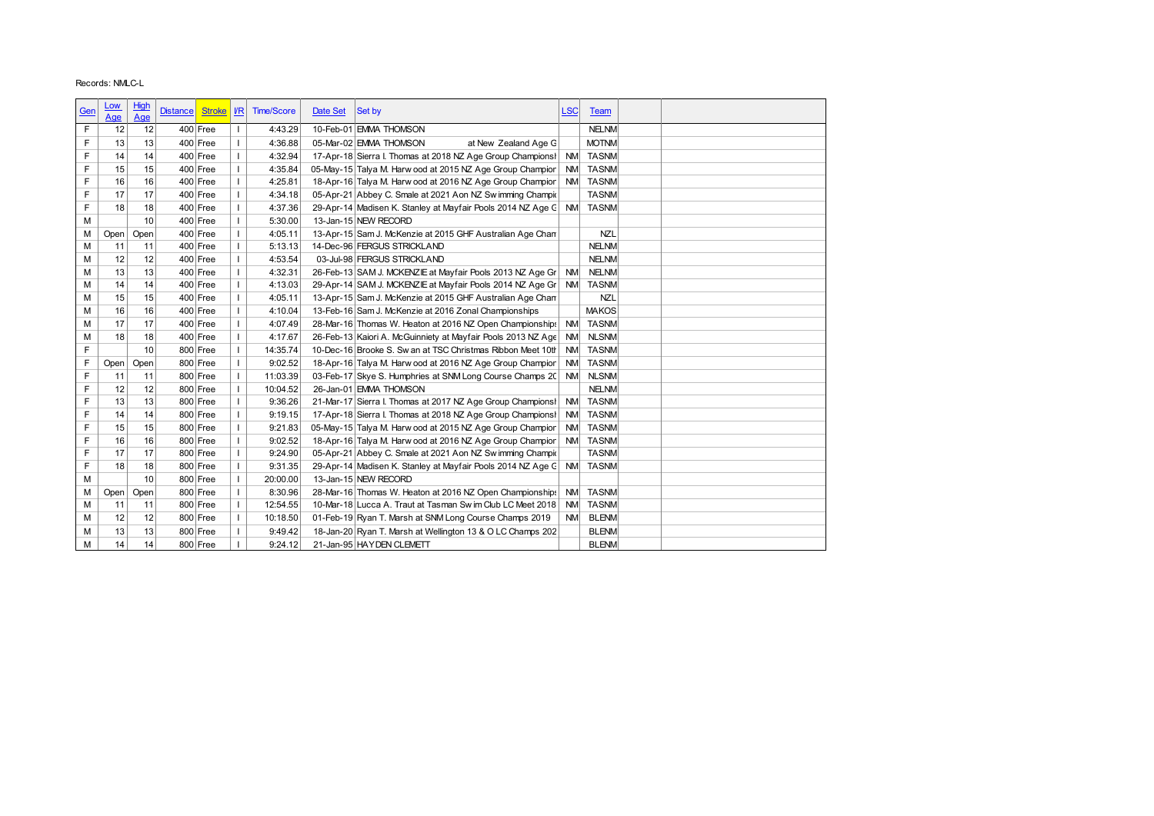|            | Records: NMLC-L |            |                                  |                |                    |          |                                                                                        |            |                              |
|------------|-----------------|------------|----------------------------------|----------------|--------------------|----------|----------------------------------------------------------------------------------------|------------|------------------------------|
|            |                 |            |                                  |                |                    |          |                                                                                        |            |                              |
| <b>Gen</b> | <u>Low</u>      | High       | <b>Distance</b><br><b>Stroke</b> | $U$            | <b>Time/Score</b>  | Date Set | Set by                                                                                 | <b>LSC</b> | Team                         |
|            | Age             | <b>Age</b> |                                  |                |                    |          |                                                                                        |            |                              |
| F          | 12              | 12         | 400 Free                         | T              | 4:43.29            |          | 10-Feb-01 EMMA THOMSON                                                                 |            | <b>NELNM</b>                 |
| F          | 13              | 13         | 400 Free                         | $\mathbf{I}$   | 4:36.88            |          | 05-Mar-02 EMMA THOMSON<br>at New Zealand Age G                                         |            | <b>MOTNM</b>                 |
| F          | 14              | 14         | $400$ Free                       | $\mathbf{I}$   | 4:32.94            |          | 17-Apr-18 Sierra I. Thomas at 2018 NZ Age Group Champions   NM                         |            | <b>TASNM</b>                 |
| F          | 15              | 15         | $400$ Free                       | $\mathbf{I}$   | 4:35.84            |          | 05-May-15 Talya M. Harw ood at 2015 NZ Age Group Champion                              | <b>NM</b>  | <b>TASNM</b>                 |
| F          | 16              | 16         | $400$ Free                       | $\mathbf{I}$   | 4:25.81            |          | 18-Apr-16 Talya M. Harw ood at 2016 NZ Age Group Champion NM                           |            | <b>TASNM</b>                 |
| F          | 17              | 17         | $400$ Free                       | $\mathbf{I}$   | 4:34.18            |          | 05-Apr-21 Abbey C. Smale at 2021 Aon NZ Sw imming Champic                              |            | <b>TASNM</b>                 |
| F          | 18              | 18         | $400$ Free                       | $\mathbf{I}$   | 4:37.36            |          | 29-Apr-14 Madisen K. Stanley at Mayfair Pools 2014 NZ Age C NM                         |            | <b>TASNM</b>                 |
| M          |                 | 10         | $400$ Free                       | $\mathbf{I}$   | 5:30.00            |          | 13-Jan-15 NEW RECORD                                                                   |            |                              |
| М          | Open            | Open       | $400$ Free                       | $\mathbf{I}$   | 4:05.11            |          | 13-Apr-15 Sam J. McKenzie at 2015 GHF Australian Age Chan                              |            | <b>NZL</b>                   |
| M          | 11              | 11         | $400$ Free                       | $\mathbf{I}$   | 5:13.13            |          | 14-Dec-96 FERGUS STRICKLAND                                                            |            | <b>NELNM</b>                 |
| M          | 12              | 12         | $400$ Free                       | $\mathbf{I}$   | 4:53.54            |          | 03-Jul-98 FERGUS STRICKLAND                                                            |            | <b>NELNM</b>                 |
| M          | 13              | 13         | $400$ Free                       | $\mathbf{I}$   | 4:32.31            |          | 26-Feb-13 SAM J. MCKENZIE at Mayfair Pools 2013 NZ Age Gr                              | <b>NM</b>  | <b>NELNM</b>                 |
| M          | 14              | 14         | $400$ Free                       | $\mathbf{I}$   | 4:13.03            |          | 29-Apr-14 SAM J. MCKENZIE at Mayfair Pools 2014 NZ Age Gr                              | NM         | <b>TASNM</b>                 |
| М          | 15              | 15         | $400$ Free                       | $\overline{1}$ | 4:05.11            |          | 13-Apr-15 Sam J. McKenzie at 2015 GHF Australian Age Chan                              |            | <b>NZL</b>                   |
| M          | 16              | 16         | 400 Free                         | $\mathbf{I}$   | 4:10.04            |          | 13-Feb-16 Sam J. McKenzie at 2016 Zonal Championships                                  |            | <b>MAKOS</b>                 |
| М          | 17              | 17         | $400$ Free                       | $\mathbf{I}$   | 4:07.49            |          | 28-Mar-16 Thomas W. Heaton at 2016 NZ Open Championships                               | <b>NM</b>  | <b>TASNM</b>                 |
| М          | 18              | 18         | $400$ Free                       | $\mathbf{I}$   | 4:17.67            |          | 26-Feb-13 Kaiori A. McGuinniety at Mayfair Pools 2013 NZ Age                           | <b>NM</b>  | <b>NLSNM</b>                 |
| F          |                 | 10         | 800 Free                         | $\mathbf{I}$   | 14:35.74           |          | 10-Dec-16 Brooke S. Sw an at TSC Christmas Ribbon Meet 10th NM                         |            | <b>TASNM</b>                 |
| F          | Open            | Open       | 800 Free                         | $\mathbf{I}$   | 9:02.52            |          | 18-Apr-16 Talya M. Harw ood at 2016 NZ Age Group Champion NM                           |            | <b>TASNM</b>                 |
| F          | 11              | 11         | 800 Free                         |                | 11:03.39           |          | 03-Feb-17 Skye S. Humphries at SNM Long Course Champs 20 NM                            |            | <b>NLSNM</b>                 |
| F          | 12              | 12         | 800 Free                         |                | 10:04.52           |          | 26-Jan-01 EMMA THOMSON                                                                 |            | <b>NELNM</b>                 |
| F          | 13              | 13         | 800 Free                         | л.             | 9:36.26            |          | 21-Mar-17 Sierra I. Thomas at 2017 NZ Age Group ChampionsI                             | NM         | <b>TASNM</b>                 |
| F          | 14              | 14         | 800 Free                         | $\mathbf{I}$   | 9:19.15            |          | 17-Apr-18 Sierra I. Thomas at 2018 NZ Age Group Champions!                             | <b>NM</b>  | <b>TASNM</b>                 |
| F          | 15              | 15         | 800 Free                         |                | 9:21.83            |          | 05-May-15 Talya M. Harw ood at 2015 NZ Age Group Champion                              | <b>NM</b>  | <b>TASNM</b>                 |
|            | 16              | 16         | 800 Free                         | T              | 9:02.52            |          | 18-Apr-16 Talya M. Harw ood at 2016 NZ Age Group Champion NM                           |            | <b>TASNM</b>                 |
|            | 17              | 17         | 800 Free                         |                | 9:24.90            |          | 05-Apr-21 Abbey C. Smale at 2021 Aon NZ Sw imming Champir                              |            | <b>TASNM</b>                 |
| F          |                 | 18         | 800 Free                         |                | 9:31.35            |          | 29-Apr-14 Madisen K. Stanley at Mayfair Pools 2014 NZ Age C NM                         |            | <b>TASNM</b>                 |
| F          |                 |            | 800 Free                         |                | 20:00.00           |          | 13-Jan-15 NEW RECORD                                                                   |            |                              |
| F          | 18              |            | 800 Free                         |                | 8:30.96            |          | 28-Mar-16 Thomas W. Heaton at 2016 NZ Open Championships NM                            |            | <b>TASNM</b>                 |
| М          |                 | 10         |                                  |                | 12:54.55           |          | 10-Mar-18 Lucca A. Traut at Tasman Sw im Club LC Meet 2018 NM                          |            | <b>TASNM</b>                 |
| М          | Open            | Open       |                                  |                |                    |          | 01-Feb-19 Ryan T. Marsh at SNM Long Course Champs 2019                                 | <b>NM</b>  |                              |
| М          | 11              | 11         | 800 Free                         |                |                    |          |                                                                                        |            |                              |
| М          | 12              | 12         | 800 Free                         |                | 10:18.50           |          |                                                                                        |            | <b>BLENM</b>                 |
| М<br>М     | 13<br>14        | 13<br>14   | 800 Free<br>800 Free             |                | 9:49.42<br>9:24.12 |          | 18-Jan-20 Ryan T. Marsh at Wellington 13 & O LC Champs 202<br>21-Jan-95 HAYDEN CLEMETT |            | <b>BLENM</b><br><b>BLENM</b> |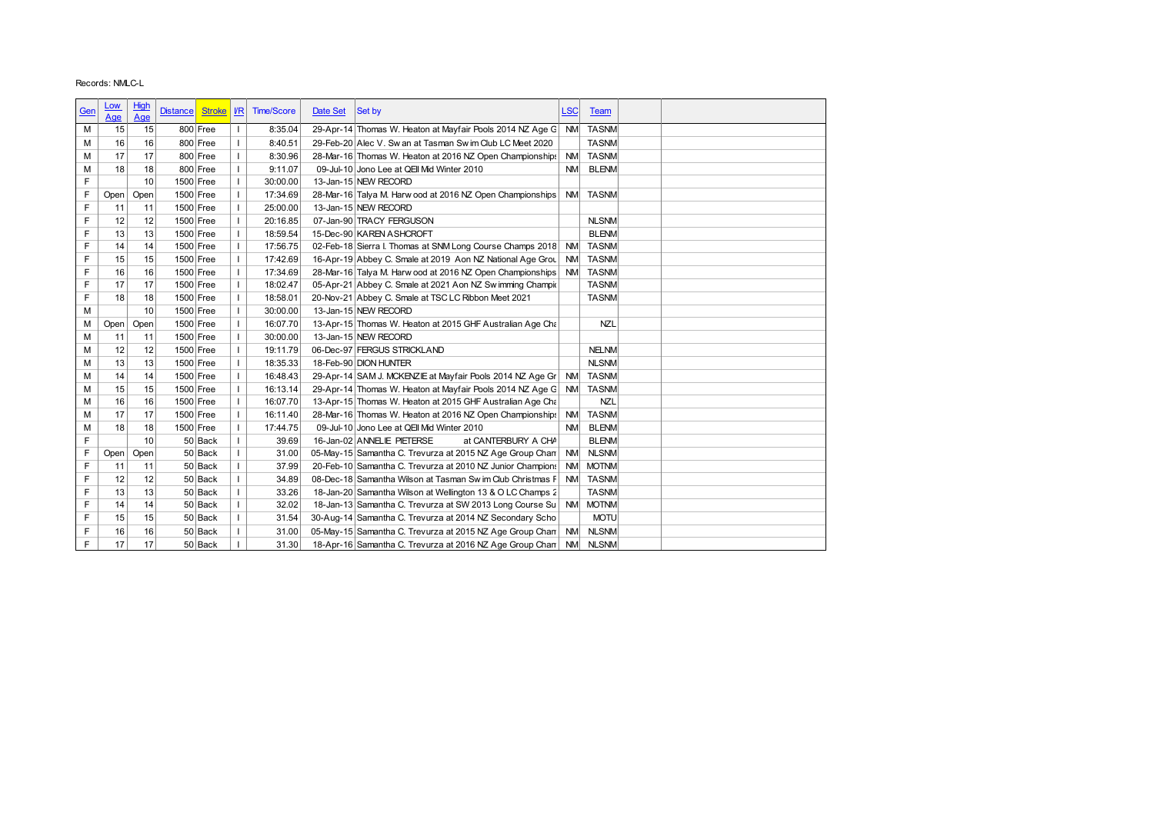|     | Records: NMLC-L |      |                                  |              |                   |          |                                                                   |            |              |
|-----|-----------------|------|----------------------------------|--------------|-------------------|----------|-------------------------------------------------------------------|------------|--------------|
|     |                 |      |                                  |              |                   |          |                                                                   |            |              |
| Gen | <u>Low</u>      | High | <b>Distance</b><br><b>Stroke</b> | $\sqrt{R}$   | <b>Time/Score</b> | Date Set | Set by                                                            | <b>LSC</b> | Team         |
|     | Age             | Age  |                                  |              |                   |          |                                                                   |            |              |
| м   | 15              | 15   | 800 Free                         | T            | 8:35.04           |          | 29-Apr-14 Thomas W. Heaton at Mayfair Pools 2014 NZ Age G NM      |            | <b>TASNM</b> |
| М   | 16              | 16   | 800 Free                         | $\mathbf{I}$ | 8:40.51           |          | 29-Feb-20 Alec V. Sw an at Tasman Sw im Club LC Meet 2020         |            | <b>TASNM</b> |
| М   | 17              | 17   | 800 Free                         | $\mathbf{I}$ | 8:30.96           |          | 28-Mar-16 Thomas W. Heaton at 2016 NZ Open Championships          | <b>NM</b>  | <b>TASNM</b> |
| M   | 18              | 18   | 800 Free                         | $\mathbf{I}$ | 9:11.07           |          | 09-Jul-10 Jono Lee at QEII Mid Winter 2010                        | <b>NM</b>  | <b>BLENM</b> |
| F   |                 | 10   | 1500 Free                        | $\mathbf{I}$ | 30:00.00          |          | 13-Jan-15 NEW RECORD                                              |            |              |
| F   | Open            | Open | 1500 Free                        |              | 17:34.69          |          | 28-Mar-16 Talya M. Harw ood at 2016 NZ Open Championships         | <b>NM</b>  | <b>TASNM</b> |
| F   | 11              | 11   | 1500 Free                        | $\mathbf{I}$ | 25:00.00          |          | 13-Jan-15 NEW RECORD                                              |            |              |
| F   | 12              | 12   | 1500 Free                        | $\mathbf{I}$ | 20:16.85          |          | 07-Jan-90 TRACY FERGUSON                                          |            | <b>NLSNM</b> |
| F   | 13              | 13   | 1500 Free                        | $\mathbf{I}$ | 18:59.54          |          | 15-Dec-90 KAREN ASHCROFT                                          |            | <b>BLENM</b> |
| F   | 14              | 14   | 1500 Free                        |              | 17:56.75          |          | 02-Feb-18 Sierra I. Thomas at SNM Long Course Champs 2018 NM      |            | <b>TASNM</b> |
| F   | 15              | 15   | 1500 Free                        | $\mathbf{I}$ | 17:42.69          |          | 16-Apr-19 Abbey C. Smale at 2019 Aon NZ National Age Grou NM      |            | <b>TASNM</b> |
| F   | 16              | 16   | 1500 Free                        | $\mathbf{I}$ | 17:34.69          |          | 28-Mar-16 Talya M. Harw ood at 2016 NZ Open Championships NM      |            | <b>TASNM</b> |
| F   | 17              | 17   | 1500 Free                        | $\mathbf{I}$ | 18:02.47          |          | 05-Apr-21 Abbey C. Smale at 2021 Aon NZ Sw imming Champic         |            | <b>TASNM</b> |
| F   | 18              | 18   | 1500 Free                        | $\mathbf{I}$ | 18:58.01          |          |                                                                   |            | <b>TASNM</b> |
|     |                 |      |                                  |              |                   |          | 20-Nov-21 Abbey C. Smale at TSC LC Ribbon Meet 2021               |            |              |
| M   |                 | 10   | 1500 Free                        | $\mathbf{I}$ | 30:00.00          |          | 13-Jan-15 NEW RECORD                                              |            |              |
| М   | Open            | Open | 1500 Free                        | $\mathbf{I}$ | 16:07.70          |          | 13-Apr-15 Thomas W. Heaton at 2015 GHF Australian Age Cha         |            | <b>NZL</b>   |
| M   | 11              | 11   | 1500 Free                        | $\mathbf{I}$ | 30:00.00          |          | 13-Jan-15 NEW RECORD                                              |            |              |
| M   | 12              | 12   | 1500 Free                        | $\mathbf{I}$ | 19:11.79          |          | 06-Dec-97 FERGUS STRICKLAND                                       |            | <b>NELNM</b> |
| M   | 13              | 13   | 1500 Free                        | $\mathbf{I}$ | 18:35.33          |          | 18-Feb-90 DION HUNTER                                             |            | <b>NLSNM</b> |
| М   | 14              | 14   | 1500 Free                        |              | 16:48.43          |          | 29-Apr-14 SAM J. MCKENZIE at Mayfair Pools 2014 NZ Age Gr         | NM         | <b>TASNM</b> |
| M   | 15              | 15   | 1500 Free                        |              | 16:13.14          |          | 29-Apr-14 Thomas W. Heaton at Mayfair Pools 2014 NZ Age G NM      |            | <b>TASNM</b> |
| M   | 16              | 16   | $1500$ Free                      | -1           | 16:07.70          |          | 13-Apr-15 Thomas W. Heaton at 2015 GHF Australian Age Cha         |            | NZL          |
| M   | 17              | 17   | 1500 Free                        | $\mathbf{I}$ | 16:11.40          |          | 28-Mar-16 Thomas W. Heaton at 2016 NZ Open Championships          | <b>NM</b>  | <b>TASNM</b> |
| М   | 18              | 18   | 1500 Free                        |              | 17:44.75          |          | 09-Jul-10 Jono Lee at QEII Mid Winter 2010                        | <b>NM</b>  | <b>BLENM</b> |
| F   |                 | 10   | 50 Back                          | $\mathbf{I}$ | 39.69             |          | at CANTERBURY A CHA<br>16-Jan-02 ANNELIE PIETERSE                 |            | <b>BLENM</b> |
| F   | Open            | Open | 50 Back                          | T            | 31.00             |          | 05-May-15 Samantha C. Trevurza at 2015 NZ Age Group Chan NM       |            | <b>NLSNM</b> |
| F   | 11              | 11   | 50 Back                          |              | 37.99             |          | 20-Feb-10 Samantha C. Trevurza at 2010 NZ Junior Champions NM     |            | <b>MOTNM</b> |
| F   |                 | 12   |                                  | T            | 34.89             |          | 08-Dec-18 Samantha Wilson at Tasman Sw im Club Christmas F NM     |            | <b>TASNM</b> |
| F   | 12              |      | 50 Back                          |              |                   |          |                                                                   |            |              |
|     | 13              | 13   | 50 Back                          |              | 33.26             |          | 18-Jan-20 Samantha Wilson at Wellington 13 & O LC Champs 2        |            | <b>TASNM</b> |
| F   | 14              | 14   | 50 Back                          |              | 32.02             |          | 18-Jan-13 Samantha C. Trevurza at SW 2013 Long Course Su NM MOTNM |            |              |
| F   | 15              | 15   | 50 Back                          |              | 31.54             |          | 30-Aug-14 Samantha C. Trevurza at 2014 NZ Secondary Scho          |            | <b>MOTU</b>  |
| F   | 16              | 16   | 50 Back                          |              | 31.00             |          | 05-May-15 Samantha C. Trevurza at 2015 NZ Age Group Chan NM       |            | <b>NLSNM</b> |
|     |                 |      |                                  |              |                   |          |                                                                   |            |              |
| F   | 17              | 17   | 50 Back                          |              | 31.30             |          | 18-Apr-16 Samantha C. Trevurza at 2016 NZ Age Group Chan NM NLSNM |            |              |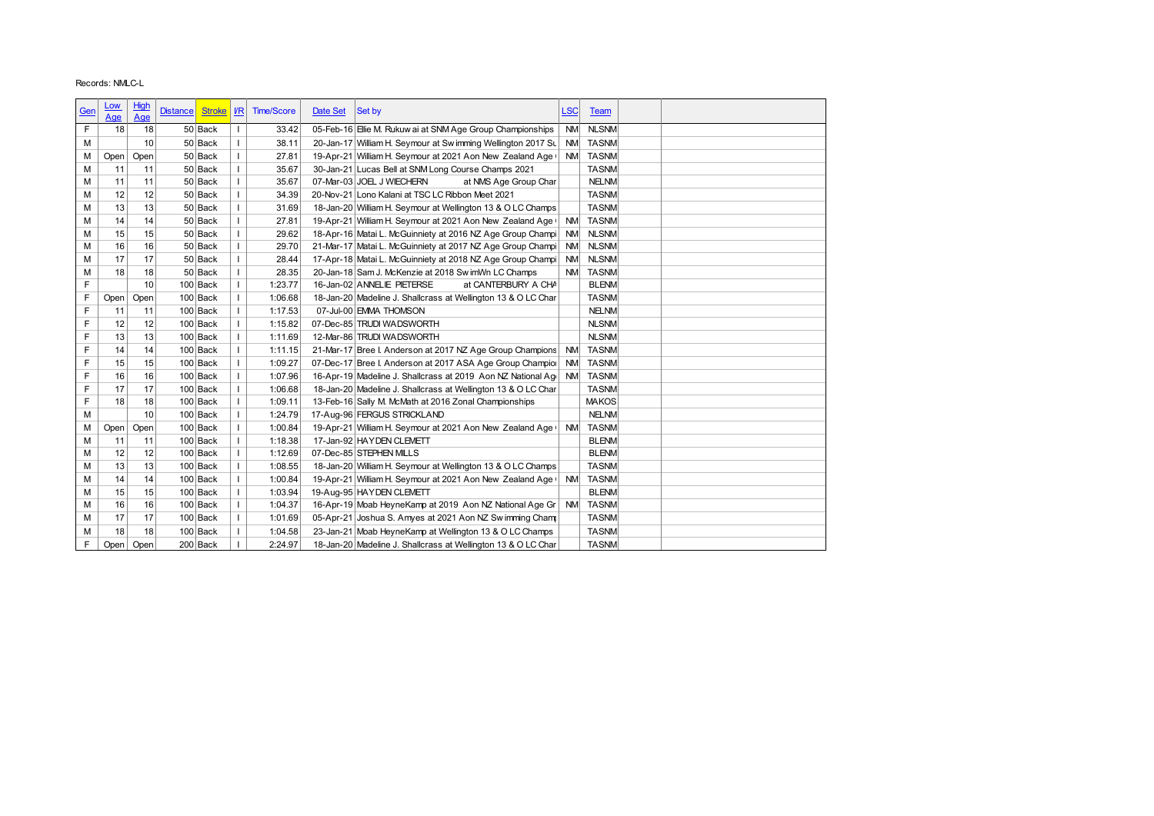|     | Records: NMLC-L          |             |                 |            |                                          |                          |          |                                                                                                                           |            |                          |
|-----|--------------------------|-------------|-----------------|------------|------------------------------------------|--------------------------|----------|---------------------------------------------------------------------------------------------------------------------------|------------|--------------------------|
|     |                          |             |                 |            |                                          |                          |          |                                                                                                                           |            |                          |
| Gen | <u>Low</u><br><u>Age</u> | High<br>Age | <b>Distance</b> |            |                                          | Stroke   VR   Time/Score | Date Set | Set by                                                                                                                    | <b>LSC</b> | Team                     |
| F   | 18                       | 18          |                 | 50 Back    | $\mathbf{I}$                             | 33.42                    |          | 05-Feb-16 Elie M. Rukuw ai at SNM Age Group Championships                                                                 |            | NM NLSNM                 |
|     |                          |             |                 |            |                                          |                          |          |                                                                                                                           |            |                          |
| М   |                          | 10          |                 | 50 Back    | $\mathbf{I}$<br>$\overline{\phantom{a}}$ | 38.11                    |          | 20-Jan-17 William H. Seymour at Swimming Wellington 2017 Su<br>19-Apr-21 William H. Seymour at 2021 Aon New Zealand Age ( | <b>NM</b>  | <b>TASNM</b><br>NM TASNM |
| М   | Open                     | Open        |                 | 50 Back    |                                          | 27.81                    |          |                                                                                                                           |            |                          |
| M   | 11                       | 11          |                 | 50 Back    | $\mathbf{I}$                             | 35.67                    |          | 30-Jan-21 Lucas Bell at SNM Long Course Champs 2021                                                                       |            | <b>TASNM</b>             |
| M   | 11                       | 11          |                 | 50 Back    | $\mathbf{I}$                             | 35.67                    |          | 07-Mar-03 JOEL J WIECHERN<br>at NMS Age Group Char                                                                        |            | <b>NELNM</b>             |
| M   | 12                       | 12          |                 | 50 Back    | $\mathbf{I}$                             | 34.39                    |          | 20-Nov-21 Lono Kalani at TSC LC Ribbon Meet 2021                                                                          |            | <b>TASNM</b>             |
| M   | 13                       | 13          |                 | 50 Back    | $\mathbf{I}$                             | 31.69                    |          | 18-Jan-20 William H. Seymour at Wellington 13 & O LC Champs                                                               |            | <b>TASNM</b>             |
| M   | 14                       | 14          |                 | 50 Back    | $\mathbf{I}$                             | 27.81                    |          | 19-Apr-21 William H. Seymour at 2021 Aon New Zealand Age (                                                                |            | NM TASNM                 |
| M   | 15                       | 15          |                 | 50 Back    | $\mathbf{I}$                             | 29.62                    |          | 18-Apr-16 Matai L. McGuinniety at 2016 NZ Age Group Champi                                                                | <b>NM</b>  | <b>NLSNM</b>             |
| M   | 16                       | 16          |                 | 50 Back    | $\mathbf{I}$                             | 29.70                    |          | 21-Mar-17 Matai L. McGuinniety at 2017 NZ Age Group Champi                                                                | <b>NM</b>  | <b>NLSNM</b>             |
| M   | 17                       | 17          |                 | 50 Back    | $\mathbf{I}$                             | 28.44                    |          | 17-Apr-18 Matai L. McGuinniety at 2018 NZ Age Group Champi                                                                | <b>NM</b>  | <b>NLSNM</b>             |
| М   | 18                       | 18          |                 | 50 Back    | $\mathbf{I}$                             | 28.35                    |          | 20-Jan-18 Sam J. McKenzie at 2018 Sw imWn LC Champs                                                                       |            | NM TASNM                 |
| F   |                          | 10          |                 | $100$ Back | $\mathbf{I}$                             | 1:23.77                  |          | 16-Jan-02 ANNELIE PIETERSE<br>at CANTERBURY A CHA                                                                         |            | <b>BLENM</b>             |
| F   | Open                     | Open        |                 | 100 Back   | $\mathbf{I}$                             | 1:06.68                  |          | 18-Jan-20 Madeline J. Shallcrass at Wellington 13 & O LC Char                                                             |            | <b>TASNM</b>             |
| F   | 11                       | 11          |                 | 100 Back   | $\mathbf{I}$                             | 1:17.53                  |          | 07-Jul-00 EMMA THOMSON                                                                                                    |            | <b>NELNM</b>             |
| F   | 12                       | 12          |                 | 100 Back   | $\mathbf{I}$                             | 1:15.82                  |          | 07-Dec-85 TRUDI WADSWORTH                                                                                                 |            | <b>NLSNM</b>             |
| F   | 13                       | 13          |                 | 100 Back   | $\mathbf{I}$                             | 1:11.69                  |          | 12-Mar-86 TRUDI WADSWORTH                                                                                                 |            | <b>NLSNM</b>             |
| F   | 14                       | 14          |                 | 100 Back   | $\mathbf{I}$                             | 1:11.15                  |          | 21-Mar-17 Bree I. Anderson at 2017 NZ Age Group Champions                                                                 | <b>NM</b>  | <b>TASNM</b>             |
| F   | 15                       | 15          |                 | 100 Back   | $\mathbf{I}$                             | 1:09.27                  |          | 07-Dec-17 Bree I. Anderson at 2017 ASA Age Group Champior                                                                 | <b>NM</b>  | <b>TASNM</b>             |
| F   | 16                       | 16          |                 | $100$ Back | $\mathbf{I}$                             | 1:07.96                  |          | 16-Apr-19 Madeline J. Shallcrass at 2019 Aon NZ National Age                                                              | <b>NM</b>  | <b>TASNM</b>             |
|     |                          |             |                 |            |                                          |                          |          |                                                                                                                           |            |                          |
|     | 17                       | 17          |                 | $100$ Back |                                          | 1:06.68                  |          | 18-Jan-20 Madeline J. Shallcrass at Wellington 13 & O LC Char                                                             |            | <b>TASNM</b>             |
| F   | 18                       | 18          |                 | $100$ Back | $\mathbf{I}$                             | 1:09.11                  |          | 13-Feb-16 Sally M. McMath at 2016 Zonal Championships                                                                     |            | MAKOS                    |
| М   |                          | 10          |                 | $100$ Back |                                          | 1:24.79                  |          | 17-Aug-96 FERGUS STRICKLAND                                                                                               |            | <b>NELNM</b>             |
|     | Open                     | Open        |                 | $100$ Back | $\mathbf{I}$                             | 1:00.84                  |          | 19-Apr-21 William H. Seymour at 2021 Aon New Zealand Age (NM TASNM                                                        |            |                          |
| М   | 11                       | 11          |                 | $100$ Back | $\mathbf{I}$                             | 1:18.38                  |          | 17-Jan-92 HAYDEN CLEMETT                                                                                                  |            | <b>BLENM</b>             |
| M   | 12                       | 12          |                 | 100 Back   |                                          | 1:12.69                  |          | 07-Dec-85 STEPHEN MILLS                                                                                                   |            | <b>BLENM</b>             |
| М   |                          | 13          |                 | $100$ Back | $\mathbf{I}$                             | 1:08.55                  |          | 18-Jan-20 William H. Seymour at Wellington 13 & O LC Champs                                                               |            | <b>TASNM</b>             |
| М   | 13                       | 14          |                 | $100$ Back |                                          | 1:00.84                  |          | 19-Apr-21 William H. Seymour at 2021 Aon New Zealand Age (                                                                |            | NM TASNM                 |
| М   | 14                       |             |                 | $100$ Back | $\mathbf{I}$                             | 1:03.94                  |          | 19-Aug-95 HAYDEN CLEMETT                                                                                                  |            | <b>BLENM</b>             |
| М   | 15                       | 15          |                 | $100$ Back |                                          | 1:04.37                  |          | 16-Apr-19 Moab HeyneKamp at 2019 Aon NZ National Age Gr NM TASNM                                                          |            |                          |
| М   | 16                       | 16          |                 | $100$ Back | $\mathbf{I}$                             | 1:01.69                  |          | 05-Apr-21 Joshua S. Amyes at 2021 Aon NZ Swimming Cham                                                                    |            | <b>TASNM</b>             |
| М   | 17                       | 17          |                 |            | $\mathbf{I}$                             |                          |          | 23-Jan-21 Moab HeyneKamp at Wellington 13 & O LC Champs                                                                   |            | <b>TASNM</b>             |
| М   | 18                       | 18          |                 | $100$ Back |                                          | 1:04.58                  |          |                                                                                                                           |            |                          |
| F.  | Open                     | Open        |                 | 200 Back   |                                          | 2:24.97                  |          | 18-Jan-20 Madeline J. Shallcrass at Wellington 13 & O LC Char                                                             |            | <b>TASNM</b>             |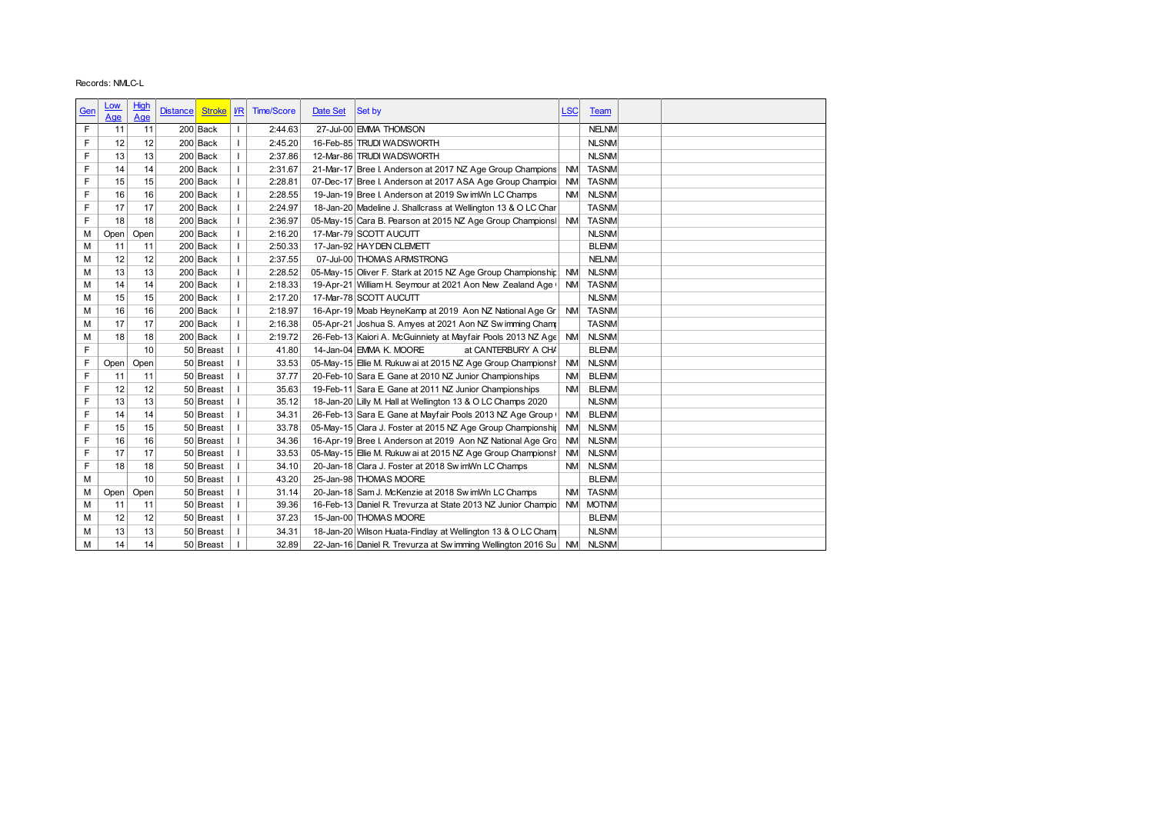|     | Records: NMLC-L |      |                 |                  |              |                   |          |                                                                       |            |              |  |
|-----|-----------------|------|-----------------|------------------|--------------|-------------------|----------|-----------------------------------------------------------------------|------------|--------------|--|
|     |                 |      |                 |                  |              |                   |          |                                                                       |            |              |  |
| Gen | <u>Low</u>      | High | <b>Distance</b> | Stroke   I/R     |              | <b>Time/Score</b> | Date Set | Set by                                                                | <b>LSC</b> | <b>Team</b>  |  |
|     | Age             | Age  |                 |                  |              |                   |          |                                                                       |            |              |  |
| F   | 11              | 11   |                 | 200 Back         | $\mathbf{I}$ | 2:44.63           |          | 27-Jul-00 EMMA THOMSON                                                |            | <b>NELNM</b> |  |
| F   | 12              | 12   |                 | 200 Back         | $\mathbf{I}$ | 2:45.20           |          | 16-Feb-85 TRUDI WADSWORTH                                             |            | <b>NLSNM</b> |  |
| F   | 13              | 13   |                 | 200 Back         | $\mathbf{I}$ | 2:37.86           |          | 12-Mar-86 TRUDI WADSWORTH                                             |            | <b>NLSNM</b> |  |
| F   | 14              | 14   |                 | 200 Back         | $\mathbf{I}$ | 2:31.67           |          | 21-Mar-17 Bree I. Anderson at 2017 NZ Age Group Champions             | <b>NM</b>  | <b>TASNM</b> |  |
| F   | 15              | 15   |                 | 200 Back         | $\mathbf{I}$ | 2:28.81           |          | 07-Dec-17 Bree I. Anderson at 2017 ASA Age Group Champior             | <b>NM</b>  | <b>TASNM</b> |  |
| F   | 16              | 16   |                 | 200 Back         | $\mathbf{I}$ | 2:28.55           |          | 19-Jan-19 Bree I. Anderson at 2019 Sw imWn LC Champs                  |            | NM NLSNM     |  |
| F   | 17              | 17   |                 | 200 Back         | $\mathbf{I}$ | 2:24.97           |          | 18-Jan-20 Madeline J. Shallcrass at Wellington 13 & O LC Char         |            | <b>TASNM</b> |  |
| F   | 18              | 18   |                 | 200 Back         | $\mathbf{I}$ | 2:36.97           |          | 05-May-15 Cara B. Pearson at 2015 NZ Age Group Champions NM           |            | <b>TASNM</b> |  |
| M   | Open            | Open |                 | 200 Back         | $\mathbf{I}$ | 2:16.20           |          | 17-Mar-79 SCOTT AUCUTT                                                |            | <b>NLSNM</b> |  |
| M   | 11              | 11   |                 | 200 Back         | $\mathbf{I}$ | 2:50.33           |          | 17-Jan-92 HAY DEN CLEMETT                                             |            | <b>BLENM</b> |  |
| M   | 12              | 12   |                 | 200 Back         | $\mathbf{I}$ | 2:37.55           |          | 07-Jul-00 THOMAS ARMSTRONG                                            |            | <b>NELNM</b> |  |
| M   | 13              | 13   |                 | 200 Back         | $\mathbf{I}$ | 2:28.52           |          | 05-May-15 Oliver F. Stark at 2015 NZ Age Group Championship           | <b>NM</b>  | <b>NLSNM</b> |  |
| М   | 14              | 14   |                 | 200 Back         | $\mathbf{I}$ | 2:18.33           |          | 19-Apr-21 William H. Seymour at 2021 Aon New Zealand Age (            | <b>NM</b>  | <b>TASNM</b> |  |
| M   | 15              | 15   |                 | 200 Back         | $\mathbf{I}$ | 2:17.20           |          | 17-Mar-78 SCOTT AUCUTT                                                |            | <b>NLSNM</b> |  |
| M   | 16              | 16   |                 | 200 Back         | $\mathbf{I}$ | 2:18.97           |          | 16-Apr-19 Moab HeyneKamp at 2019 Aon NZ National Age Gr               | <b>NM</b>  | <b>TASNM</b> |  |
| M   | 17              | 17   |                 | 200 Back         | $\mathbf{I}$ | 2:16.38           |          | 05-Apr-21 Joshua S. Amyes at 2021 Aon NZ Swimming Cham                |            | <b>TASNM</b> |  |
| М   | 18              | 18   |                 | 200 Back         | $\mathbf{I}$ | 2:19.72           |          | 26-Feb-13 Kaiori A. McGuinniety at Mayfair Pools 2013 NZ Age NM NLSNM |            |              |  |
| F   |                 | 10   |                 | 50 Breast        |              | 41.80             |          | 14-Jan-04 EMMA K. MOORE<br>at CANTERBURY A CHA                        |            | <b>BLENM</b> |  |
| F   | Open            | Open |                 | 50 Breast        |              | 33.53             |          | 05-May-15 Elie M. Rukuw ai at 2015 NZ Age Group Championsh            | <b>NM</b>  | <b>NLSNM</b> |  |
| F   | 11              | 11   |                 | 50 Breast        |              | 37.77             |          | 20-Feb-10 Sara E. Gane at 2010 NZ Junior Championships                | <b>NM</b>  | <b>BLENM</b> |  |
| F   | 12              | 12   |                 | 50 Breast        |              | 35.63             |          | 19-Feb-11 Sara E. Gane at 2011 NZ Junior Championships                | NM         | <b>BLENM</b> |  |
| F   | 13              | 13   |                 | 50 Breast        |              | 35.12             |          | 18-Jan-20 Lilly M. Hall at Wellington 13 & O LC Champs 2020           |            | <b>NLSNM</b> |  |
| F   | 14              | 14   |                 | 50 Breast        |              | 34.31             |          | 26-Feb-13 Sara E. Gane at Mayfair Pools 2013 NZ Age Group (           |            | NM BLENM     |  |
| F   | 15              | 15   |                 | 50 Breast        |              | 33.78             |          | 05-May-15 Clara J. Foster at 2015 NZ Age Group Championship           | <b>NM</b>  | <b>NLSNM</b> |  |
| F   | 16              | 16   |                 | 50 Breast        |              | 34.36             |          | 16-Apr-19 Bree I. Anderson at 2019 Aon NZ National Age Gro            | <b>NM</b>  | <b>NLSNM</b> |  |
| F   | 17              | 17   |                 | $50$  Breast   I |              | 33.53             |          | 05-May-15 Ellie M. Rukuw ai at 2015 NZ Age Group Championsh           |            | NM NLSNM     |  |
| F   | 18              | 18   |                 | $50$ Breast   I  |              | 34.10             |          | 20-Jan-18 Clara J. Foster at 2018 Sw imWn LC Champs                   |            | NM NLSNM     |  |
| М   |                 | 10   |                 | 50 Breast        |              | 43.20             |          | 25-Jan-98 THOMAS MOORE                                                |            | <b>BLENM</b> |  |
| М   | Open            | Open |                 | 50 Breast        |              | 31.14             |          | 20-Jan-18 Sam J. McKenzie at 2018 Sw imWn LC Champs                   |            | NM TASNM     |  |
| М   | 11              | 11   |                 | $50$ Breast   I  |              | 39.36             |          | 16-Feb-13 Daniel R. Trevurza at State 2013 NZ Junior Champio          |            | NM MOTNM     |  |
| М   | 12              | 12   |                 | $50$ Breast   I  |              | 37.23             |          | 15-Jan-00 THOMAS MOORE                                                |            | <b>BLENM</b> |  |
| М   | 13              | 13   |                 | 50 Breast        |              | 34.31             |          | 18-Jan-20 Wilson Huata-Findlay at Wellington 13 & O LC Cham           |            | <b>NLSNM</b> |  |
| M   | 14              | 14   |                 | 50 Breast        |              | 32.89             |          | 22-Jan-16 Daniel R. Trevurza at Sw imming Wellington 2016 Su NM NLSNM |            |              |  |
|     |                 |      |                 |                  |              |                   |          |                                                                       |            |              |  |
|     |                 |      |                 |                  |              |                   |          |                                                                       |            |              |  |
|     |                 |      |                 |                  |              |                   |          |                                                                       |            |              |  |
|     |                 |      |                 |                  |              |                   |          |                                                                       |            |              |  |
|     |                 |      |                 |                  |              |                   |          |                                                                       |            |              |  |
|     |                 |      |                 |                  |              |                   |          |                                                                       |            |              |  |
|     |                 |      |                 |                  |              |                   |          |                                                                       |            |              |  |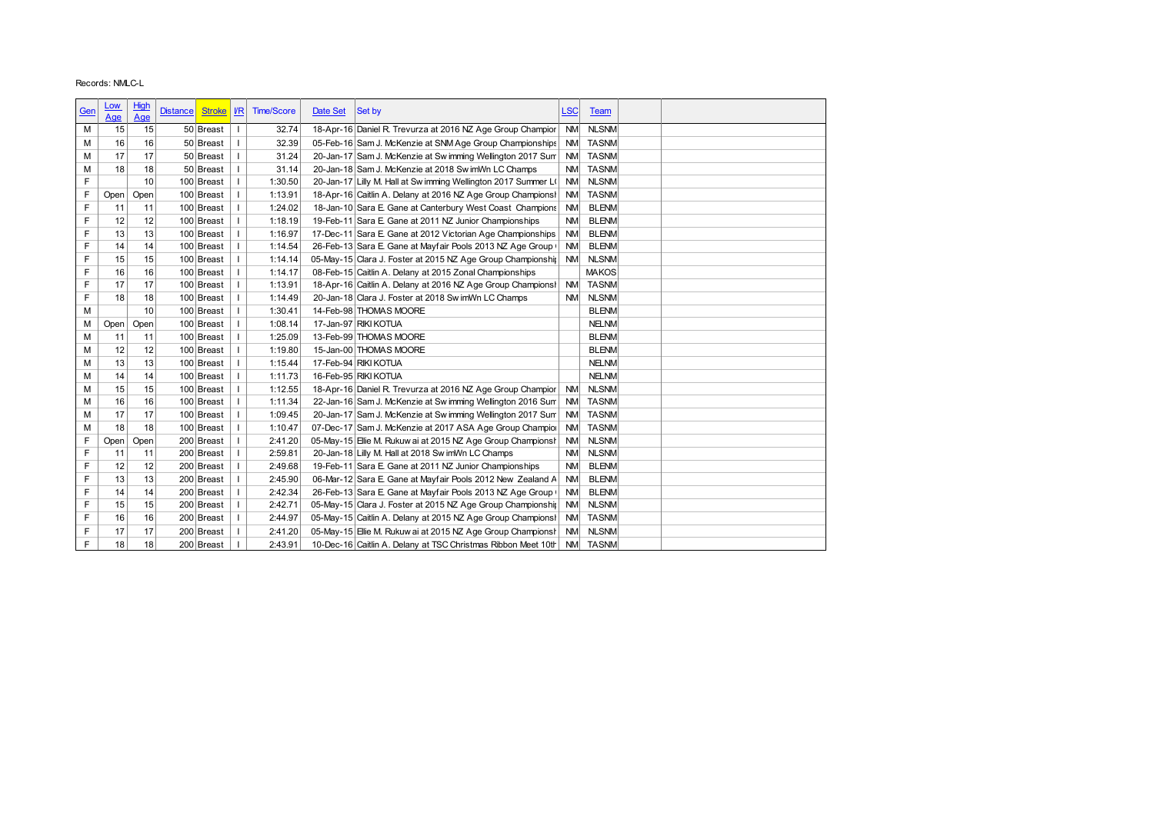| Records: NMLC-L<br>High<br><u>LOW</u><br>$\sqrt{R}$<br><b>Time/Score</b><br>Date Set<br><u>LSC</u><br>Gen<br><b>Distance</b><br><b>Stroke</b><br>Set by<br><b>Team</b><br>Age<br>Age<br><b>NLSNM</b><br>15<br>50 Breast<br>18-Apr-16 Daniel R. Trevurza at 2016 NZ Age Group Champior<br>NM<br>15<br>32.74<br>M<br><b>TASNM</b><br>16<br>50 Breast<br>32.39<br>05-Feb-16 Sam J. McKenzie at SNM Age Group Championships<br><b>NM</b><br>16<br>М<br>М<br>17<br>17<br>50 Breast<br>31.24<br>20-Jan-17 Sam J. McKenzie at Sw imming Wellington 2017 Sum<br><b>TASNM</b><br>$\mathbf{I}$<br><b>NM</b><br>18<br>18<br>50 Breast<br>31.14<br>20-Jan-18 Sam J. McKenzie at 2018 Sw imWn LC Champs<br><b>TASNM</b><br>М<br><b>NM</b><br>F<br>10<br><b>NLSNM</b><br>100 Breast<br>1:30.50<br>20-Jan-17 Lilly M. Hall at Sw imming Wellington 2017 Summer L(<br>T<br><b>NM</b><br>F<br>$\mathbf{I}$<br>1:13.91<br>18-Apr-16 Caitlin A. Delany at 2016 NZ Age Group Champions!<br><b>TASNM</b><br>Open<br>Open<br>100 Breast<br><b>NM</b><br>F<br>1:24.02<br>18-Jan-10 Sara E. Gane at Canterbury West Coast Champions<br><b>NM</b><br><b>BLENM</b><br>11<br>11<br>100 Breast<br>F<br>19-Feb-11 Sara E. Gane at 2011 NZ Junior Championships<br>12<br>12<br>100 Breast<br>1:18.19<br><b>NM</b><br><b>BLENM</b><br>T<br>F<br>13<br>100 Breast<br>1:16.97<br>17-Dec-11 Sara E. Gane at 2012 Victorian Age Championships<br><b>NM</b><br><b>BLENM</b><br>13<br>T<br>F<br><b>BLENM</b><br>14<br>14<br>100 Breast<br>1:14.54<br>26-Feb-13 Sara E. Gane at Mayfair Pools 2013 NZ Age Group (<br>$\mathbf{I}$<br><b>NM</b><br>F<br>15<br>100 Breast<br>1:14.14<br>05-May-15 Clara J. Foster at 2015 NZ Age Group Championshir NM<br><b>NLSNM</b><br>15<br>F<br><b>MAKOS</b><br>16<br>16<br>100 Breast<br>1:14.17<br>08-Feb-15 Caitlin A. Delany at 2015 Zonal Championships<br>T<br>F<br>17<br>100 Breast<br>1:13.91<br>18-Apr-16 Caitlin A. Delany at 2016 NZ Age Group Champions!<br><b>TASNM</b><br>17<br>T<br><b>NM</b><br>F<br><b>NLSNM</b><br>18<br>18<br>100 Breast<br>T<br>20-Jan-18 Clara J. Foster at 2018 Sw imWn LC Champs<br>1:14.49<br><b>NM</b><br>14-Feb-98 THOMAS MOORE<br>М<br>10<br>100 Breast<br>1:30.41<br><b>BLENM</b><br>T<br>17-Jan-97 RIKI KOTUA<br>100 Breast<br>1:08.14<br><b>NELNM</b><br>М<br>Open<br>Open<br>$\mathbf{I}$<br>13-Feb-99 THOMAS MOORE<br>100 Breast<br>1:25.09<br><b>BLENM</b><br>М<br>11<br>11<br>$\mathbf{I}$<br>15-Jan-00 THOMAS MOORE<br>12<br>12<br>100 Breast<br>1:19.80<br><b>BLENM</b><br>M<br>17-Feb-94 RIKI KOTUA<br>13<br>13<br>1:15.44<br><b>NELNM</b><br>M<br>100 Breast<br>$\mathbf{I}$<br>16-Feb-95 RIKI KOTUA<br><b>NELNM</b><br>М<br>14<br>14<br>100 Breast<br>T<br>1:11.73<br>100 Breast<br>1:12.55<br>18-Apr-16 Daniel R. Trevurza at 2016 NZ Age Group Champior NM<br><b>NLSNM</b><br>М<br>15<br>15 |   |    |    |            |         |                                                            |           |              |  |
|---------------------------------------------------------------------------------------------------------------------------------------------------------------------------------------------------------------------------------------------------------------------------------------------------------------------------------------------------------------------------------------------------------------------------------------------------------------------------------------------------------------------------------------------------------------------------------------------------------------------------------------------------------------------------------------------------------------------------------------------------------------------------------------------------------------------------------------------------------------------------------------------------------------------------------------------------------------------------------------------------------------------------------------------------------------------------------------------------------------------------------------------------------------------------------------------------------------------------------------------------------------------------------------------------------------------------------------------------------------------------------------------------------------------------------------------------------------------------------------------------------------------------------------------------------------------------------------------------------------------------------------------------------------------------------------------------------------------------------------------------------------------------------------------------------------------------------------------------------------------------------------------------------------------------------------------------------------------------------------------------------------------------------------------------------------------------------------------------------------------------------------------------------------------------------------------------------------------------------------------------------------------------------------------------------------------------------------------------------------------------------------------------------------------------------------------------------------------------------------------------------------------------------------------------------------------------------------------------------------------------------------------------------------------------------------------------------------------------------------------------------------------------------------------------------------------------------------------------|---|----|----|------------|---------|------------------------------------------------------------|-----------|--------------|--|
|                                                                                                                                                                                                                                                                                                                                                                                                                                                                                                                                                                                                                                                                                                                                                                                                                                                                                                                                                                                                                                                                                                                                                                                                                                                                                                                                                                                                                                                                                                                                                                                                                                                                                                                                                                                                                                                                                                                                                                                                                                                                                                                                                                                                                                                                                                                                                                                                                                                                                                                                                                                                                                                                                                                                                                                                                                                   |   |    |    |            |         |                                                            |           |              |  |
|                                                                                                                                                                                                                                                                                                                                                                                                                                                                                                                                                                                                                                                                                                                                                                                                                                                                                                                                                                                                                                                                                                                                                                                                                                                                                                                                                                                                                                                                                                                                                                                                                                                                                                                                                                                                                                                                                                                                                                                                                                                                                                                                                                                                                                                                                                                                                                                                                                                                                                                                                                                                                                                                                                                                                                                                                                                   |   |    |    |            |         |                                                            |           |              |  |
|                                                                                                                                                                                                                                                                                                                                                                                                                                                                                                                                                                                                                                                                                                                                                                                                                                                                                                                                                                                                                                                                                                                                                                                                                                                                                                                                                                                                                                                                                                                                                                                                                                                                                                                                                                                                                                                                                                                                                                                                                                                                                                                                                                                                                                                                                                                                                                                                                                                                                                                                                                                                                                                                                                                                                                                                                                                   |   |    |    |            |         |                                                            |           |              |  |
|                                                                                                                                                                                                                                                                                                                                                                                                                                                                                                                                                                                                                                                                                                                                                                                                                                                                                                                                                                                                                                                                                                                                                                                                                                                                                                                                                                                                                                                                                                                                                                                                                                                                                                                                                                                                                                                                                                                                                                                                                                                                                                                                                                                                                                                                                                                                                                                                                                                                                                                                                                                                                                                                                                                                                                                                                                                   |   |    |    |            |         |                                                            |           |              |  |
|                                                                                                                                                                                                                                                                                                                                                                                                                                                                                                                                                                                                                                                                                                                                                                                                                                                                                                                                                                                                                                                                                                                                                                                                                                                                                                                                                                                                                                                                                                                                                                                                                                                                                                                                                                                                                                                                                                                                                                                                                                                                                                                                                                                                                                                                                                                                                                                                                                                                                                                                                                                                                                                                                                                                                                                                                                                   |   |    |    |            |         |                                                            |           |              |  |
|                                                                                                                                                                                                                                                                                                                                                                                                                                                                                                                                                                                                                                                                                                                                                                                                                                                                                                                                                                                                                                                                                                                                                                                                                                                                                                                                                                                                                                                                                                                                                                                                                                                                                                                                                                                                                                                                                                                                                                                                                                                                                                                                                                                                                                                                                                                                                                                                                                                                                                                                                                                                                                                                                                                                                                                                                                                   |   |    |    |            |         |                                                            |           |              |  |
|                                                                                                                                                                                                                                                                                                                                                                                                                                                                                                                                                                                                                                                                                                                                                                                                                                                                                                                                                                                                                                                                                                                                                                                                                                                                                                                                                                                                                                                                                                                                                                                                                                                                                                                                                                                                                                                                                                                                                                                                                                                                                                                                                                                                                                                                                                                                                                                                                                                                                                                                                                                                                                                                                                                                                                                                                                                   |   |    |    |            |         |                                                            |           |              |  |
|                                                                                                                                                                                                                                                                                                                                                                                                                                                                                                                                                                                                                                                                                                                                                                                                                                                                                                                                                                                                                                                                                                                                                                                                                                                                                                                                                                                                                                                                                                                                                                                                                                                                                                                                                                                                                                                                                                                                                                                                                                                                                                                                                                                                                                                                                                                                                                                                                                                                                                                                                                                                                                                                                                                                                                                                                                                   |   |    |    |            |         |                                                            |           |              |  |
|                                                                                                                                                                                                                                                                                                                                                                                                                                                                                                                                                                                                                                                                                                                                                                                                                                                                                                                                                                                                                                                                                                                                                                                                                                                                                                                                                                                                                                                                                                                                                                                                                                                                                                                                                                                                                                                                                                                                                                                                                                                                                                                                                                                                                                                                                                                                                                                                                                                                                                                                                                                                                                                                                                                                                                                                                                                   |   |    |    |            |         |                                                            |           |              |  |
|                                                                                                                                                                                                                                                                                                                                                                                                                                                                                                                                                                                                                                                                                                                                                                                                                                                                                                                                                                                                                                                                                                                                                                                                                                                                                                                                                                                                                                                                                                                                                                                                                                                                                                                                                                                                                                                                                                                                                                                                                                                                                                                                                                                                                                                                                                                                                                                                                                                                                                                                                                                                                                                                                                                                                                                                                                                   |   |    |    |            |         |                                                            |           |              |  |
|                                                                                                                                                                                                                                                                                                                                                                                                                                                                                                                                                                                                                                                                                                                                                                                                                                                                                                                                                                                                                                                                                                                                                                                                                                                                                                                                                                                                                                                                                                                                                                                                                                                                                                                                                                                                                                                                                                                                                                                                                                                                                                                                                                                                                                                                                                                                                                                                                                                                                                                                                                                                                                                                                                                                                                                                                                                   |   |    |    |            |         |                                                            |           |              |  |
|                                                                                                                                                                                                                                                                                                                                                                                                                                                                                                                                                                                                                                                                                                                                                                                                                                                                                                                                                                                                                                                                                                                                                                                                                                                                                                                                                                                                                                                                                                                                                                                                                                                                                                                                                                                                                                                                                                                                                                                                                                                                                                                                                                                                                                                                                                                                                                                                                                                                                                                                                                                                                                                                                                                                                                                                                                                   |   |    |    |            |         |                                                            |           |              |  |
|                                                                                                                                                                                                                                                                                                                                                                                                                                                                                                                                                                                                                                                                                                                                                                                                                                                                                                                                                                                                                                                                                                                                                                                                                                                                                                                                                                                                                                                                                                                                                                                                                                                                                                                                                                                                                                                                                                                                                                                                                                                                                                                                                                                                                                                                                                                                                                                                                                                                                                                                                                                                                                                                                                                                                                                                                                                   |   |    |    |            |         |                                                            |           |              |  |
|                                                                                                                                                                                                                                                                                                                                                                                                                                                                                                                                                                                                                                                                                                                                                                                                                                                                                                                                                                                                                                                                                                                                                                                                                                                                                                                                                                                                                                                                                                                                                                                                                                                                                                                                                                                                                                                                                                                                                                                                                                                                                                                                                                                                                                                                                                                                                                                                                                                                                                                                                                                                                                                                                                                                                                                                                                                   |   |    |    |            |         |                                                            |           |              |  |
|                                                                                                                                                                                                                                                                                                                                                                                                                                                                                                                                                                                                                                                                                                                                                                                                                                                                                                                                                                                                                                                                                                                                                                                                                                                                                                                                                                                                                                                                                                                                                                                                                                                                                                                                                                                                                                                                                                                                                                                                                                                                                                                                                                                                                                                                                                                                                                                                                                                                                                                                                                                                                                                                                                                                                                                                                                                   |   |    |    |            |         |                                                            |           |              |  |
|                                                                                                                                                                                                                                                                                                                                                                                                                                                                                                                                                                                                                                                                                                                                                                                                                                                                                                                                                                                                                                                                                                                                                                                                                                                                                                                                                                                                                                                                                                                                                                                                                                                                                                                                                                                                                                                                                                                                                                                                                                                                                                                                                                                                                                                                                                                                                                                                                                                                                                                                                                                                                                                                                                                                                                                                                                                   |   |    |    |            |         |                                                            |           |              |  |
|                                                                                                                                                                                                                                                                                                                                                                                                                                                                                                                                                                                                                                                                                                                                                                                                                                                                                                                                                                                                                                                                                                                                                                                                                                                                                                                                                                                                                                                                                                                                                                                                                                                                                                                                                                                                                                                                                                                                                                                                                                                                                                                                                                                                                                                                                                                                                                                                                                                                                                                                                                                                                                                                                                                                                                                                                                                   |   |    |    |            |         |                                                            |           |              |  |
|                                                                                                                                                                                                                                                                                                                                                                                                                                                                                                                                                                                                                                                                                                                                                                                                                                                                                                                                                                                                                                                                                                                                                                                                                                                                                                                                                                                                                                                                                                                                                                                                                                                                                                                                                                                                                                                                                                                                                                                                                                                                                                                                                                                                                                                                                                                                                                                                                                                                                                                                                                                                                                                                                                                                                                                                                                                   |   |    |    |            |         |                                                            |           |              |  |
|                                                                                                                                                                                                                                                                                                                                                                                                                                                                                                                                                                                                                                                                                                                                                                                                                                                                                                                                                                                                                                                                                                                                                                                                                                                                                                                                                                                                                                                                                                                                                                                                                                                                                                                                                                                                                                                                                                                                                                                                                                                                                                                                                                                                                                                                                                                                                                                                                                                                                                                                                                                                                                                                                                                                                                                                                                                   |   |    |    |            |         |                                                            |           |              |  |
|                                                                                                                                                                                                                                                                                                                                                                                                                                                                                                                                                                                                                                                                                                                                                                                                                                                                                                                                                                                                                                                                                                                                                                                                                                                                                                                                                                                                                                                                                                                                                                                                                                                                                                                                                                                                                                                                                                                                                                                                                                                                                                                                                                                                                                                                                                                                                                                                                                                                                                                                                                                                                                                                                                                                                                                                                                                   |   |    |    |            |         |                                                            |           |              |  |
|                                                                                                                                                                                                                                                                                                                                                                                                                                                                                                                                                                                                                                                                                                                                                                                                                                                                                                                                                                                                                                                                                                                                                                                                                                                                                                                                                                                                                                                                                                                                                                                                                                                                                                                                                                                                                                                                                                                                                                                                                                                                                                                                                                                                                                                                                                                                                                                                                                                                                                                                                                                                                                                                                                                                                                                                                                                   |   |    |    |            |         |                                                            |           |              |  |
|                                                                                                                                                                                                                                                                                                                                                                                                                                                                                                                                                                                                                                                                                                                                                                                                                                                                                                                                                                                                                                                                                                                                                                                                                                                                                                                                                                                                                                                                                                                                                                                                                                                                                                                                                                                                                                                                                                                                                                                                                                                                                                                                                                                                                                                                                                                                                                                                                                                                                                                                                                                                                                                                                                                                                                                                                                                   |   |    |    |            |         |                                                            |           |              |  |
|                                                                                                                                                                                                                                                                                                                                                                                                                                                                                                                                                                                                                                                                                                                                                                                                                                                                                                                                                                                                                                                                                                                                                                                                                                                                                                                                                                                                                                                                                                                                                                                                                                                                                                                                                                                                                                                                                                                                                                                                                                                                                                                                                                                                                                                                                                                                                                                                                                                                                                                                                                                                                                                                                                                                                                                                                                                   |   |    |    |            |         |                                                            |           |              |  |
|                                                                                                                                                                                                                                                                                                                                                                                                                                                                                                                                                                                                                                                                                                                                                                                                                                                                                                                                                                                                                                                                                                                                                                                                                                                                                                                                                                                                                                                                                                                                                                                                                                                                                                                                                                                                                                                                                                                                                                                                                                                                                                                                                                                                                                                                                                                                                                                                                                                                                                                                                                                                                                                                                                                                                                                                                                                   |   |    |    |            |         |                                                            |           |              |  |
|                                                                                                                                                                                                                                                                                                                                                                                                                                                                                                                                                                                                                                                                                                                                                                                                                                                                                                                                                                                                                                                                                                                                                                                                                                                                                                                                                                                                                                                                                                                                                                                                                                                                                                                                                                                                                                                                                                                                                                                                                                                                                                                                                                                                                                                                                                                                                                                                                                                                                                                                                                                                                                                                                                                                                                                                                                                   |   |    |    |            |         |                                                            |           |              |  |
|                                                                                                                                                                                                                                                                                                                                                                                                                                                                                                                                                                                                                                                                                                                                                                                                                                                                                                                                                                                                                                                                                                                                                                                                                                                                                                                                                                                                                                                                                                                                                                                                                                                                                                                                                                                                                                                                                                                                                                                                                                                                                                                                                                                                                                                                                                                                                                                                                                                                                                                                                                                                                                                                                                                                                                                                                                                   |   |    |    |            |         |                                                            |           |              |  |
|                                                                                                                                                                                                                                                                                                                                                                                                                                                                                                                                                                                                                                                                                                                                                                                                                                                                                                                                                                                                                                                                                                                                                                                                                                                                                                                                                                                                                                                                                                                                                                                                                                                                                                                                                                                                                                                                                                                                                                                                                                                                                                                                                                                                                                                                                                                                                                                                                                                                                                                                                                                                                                                                                                                                                                                                                                                   |   |    |    |            |         |                                                            |           |              |  |
|                                                                                                                                                                                                                                                                                                                                                                                                                                                                                                                                                                                                                                                                                                                                                                                                                                                                                                                                                                                                                                                                                                                                                                                                                                                                                                                                                                                                                                                                                                                                                                                                                                                                                                                                                                                                                                                                                                                                                                                                                                                                                                                                                                                                                                                                                                                                                                                                                                                                                                                                                                                                                                                                                                                                                                                                                                                   |   |    |    |            |         |                                                            |           |              |  |
|                                                                                                                                                                                                                                                                                                                                                                                                                                                                                                                                                                                                                                                                                                                                                                                                                                                                                                                                                                                                                                                                                                                                                                                                                                                                                                                                                                                                                                                                                                                                                                                                                                                                                                                                                                                                                                                                                                                                                                                                                                                                                                                                                                                                                                                                                                                                                                                                                                                                                                                                                                                                                                                                                                                                                                                                                                                   |   |    |    |            |         |                                                            |           |              |  |
|                                                                                                                                                                                                                                                                                                                                                                                                                                                                                                                                                                                                                                                                                                                                                                                                                                                                                                                                                                                                                                                                                                                                                                                                                                                                                                                                                                                                                                                                                                                                                                                                                                                                                                                                                                                                                                                                                                                                                                                                                                                                                                                                                                                                                                                                                                                                                                                                                                                                                                                                                                                                                                                                                                                                                                                                                                                   |   |    |    |            |         |                                                            |           |              |  |
|                                                                                                                                                                                                                                                                                                                                                                                                                                                                                                                                                                                                                                                                                                                                                                                                                                                                                                                                                                                                                                                                                                                                                                                                                                                                                                                                                                                                                                                                                                                                                                                                                                                                                                                                                                                                                                                                                                                                                                                                                                                                                                                                                                                                                                                                                                                                                                                                                                                                                                                                                                                                                                                                                                                                                                                                                                                   |   |    |    |            |         |                                                            |           |              |  |
|                                                                                                                                                                                                                                                                                                                                                                                                                                                                                                                                                                                                                                                                                                                                                                                                                                                                                                                                                                                                                                                                                                                                                                                                                                                                                                                                                                                                                                                                                                                                                                                                                                                                                                                                                                                                                                                                                                                                                                                                                                                                                                                                                                                                                                                                                                                                                                                                                                                                                                                                                                                                                                                                                                                                                                                                                                                   |   |    |    |            |         |                                                            |           |              |  |
|                                                                                                                                                                                                                                                                                                                                                                                                                                                                                                                                                                                                                                                                                                                                                                                                                                                                                                                                                                                                                                                                                                                                                                                                                                                                                                                                                                                                                                                                                                                                                                                                                                                                                                                                                                                                                                                                                                                                                                                                                                                                                                                                                                                                                                                                                                                                                                                                                                                                                                                                                                                                                                                                                                                                                                                                                                                   |   |    |    |            |         |                                                            |           |              |  |
|                                                                                                                                                                                                                                                                                                                                                                                                                                                                                                                                                                                                                                                                                                                                                                                                                                                                                                                                                                                                                                                                                                                                                                                                                                                                                                                                                                                                                                                                                                                                                                                                                                                                                                                                                                                                                                                                                                                                                                                                                                                                                                                                                                                                                                                                                                                                                                                                                                                                                                                                                                                                                                                                                                                                                                                                                                                   |   |    |    |            |         |                                                            |           |              |  |
|                                                                                                                                                                                                                                                                                                                                                                                                                                                                                                                                                                                                                                                                                                                                                                                                                                                                                                                                                                                                                                                                                                                                                                                                                                                                                                                                                                                                                                                                                                                                                                                                                                                                                                                                                                                                                                                                                                                                                                                                                                                                                                                                                                                                                                                                                                                                                                                                                                                                                                                                                                                                                                                                                                                                                                                                                                                   |   |    |    |            |         |                                                            |           |              |  |
|                                                                                                                                                                                                                                                                                                                                                                                                                                                                                                                                                                                                                                                                                                                                                                                                                                                                                                                                                                                                                                                                                                                                                                                                                                                                                                                                                                                                                                                                                                                                                                                                                                                                                                                                                                                                                                                                                                                                                                                                                                                                                                                                                                                                                                                                                                                                                                                                                                                                                                                                                                                                                                                                                                                                                                                                                                                   |   |    |    |            |         |                                                            |           |              |  |
|                                                                                                                                                                                                                                                                                                                                                                                                                                                                                                                                                                                                                                                                                                                                                                                                                                                                                                                                                                                                                                                                                                                                                                                                                                                                                                                                                                                                                                                                                                                                                                                                                                                                                                                                                                                                                                                                                                                                                                                                                                                                                                                                                                                                                                                                                                                                                                                                                                                                                                                                                                                                                                                                                                                                                                                                                                                   |   |    |    |            |         |                                                            |           |              |  |
|                                                                                                                                                                                                                                                                                                                                                                                                                                                                                                                                                                                                                                                                                                                                                                                                                                                                                                                                                                                                                                                                                                                                                                                                                                                                                                                                                                                                                                                                                                                                                                                                                                                                                                                                                                                                                                                                                                                                                                                                                                                                                                                                                                                                                                                                                                                                                                                                                                                                                                                                                                                                                                                                                                                                                                                                                                                   |   |    |    |            |         |                                                            |           |              |  |
|                                                                                                                                                                                                                                                                                                                                                                                                                                                                                                                                                                                                                                                                                                                                                                                                                                                                                                                                                                                                                                                                                                                                                                                                                                                                                                                                                                                                                                                                                                                                                                                                                                                                                                                                                                                                                                                                                                                                                                                                                                                                                                                                                                                                                                                                                                                                                                                                                                                                                                                                                                                                                                                                                                                                                                                                                                                   |   |    |    |            |         |                                                            |           |              |  |
|                                                                                                                                                                                                                                                                                                                                                                                                                                                                                                                                                                                                                                                                                                                                                                                                                                                                                                                                                                                                                                                                                                                                                                                                                                                                                                                                                                                                                                                                                                                                                                                                                                                                                                                                                                                                                                                                                                                                                                                                                                                                                                                                                                                                                                                                                                                                                                                                                                                                                                                                                                                                                                                                                                                                                                                                                                                   |   |    |    |            |         |                                                            |           |              |  |
|                                                                                                                                                                                                                                                                                                                                                                                                                                                                                                                                                                                                                                                                                                                                                                                                                                                                                                                                                                                                                                                                                                                                                                                                                                                                                                                                                                                                                                                                                                                                                                                                                                                                                                                                                                                                                                                                                                                                                                                                                                                                                                                                                                                                                                                                                                                                                                                                                                                                                                                                                                                                                                                                                                                                                                                                                                                   |   |    |    |            |         |                                                            |           |              |  |
|                                                                                                                                                                                                                                                                                                                                                                                                                                                                                                                                                                                                                                                                                                                                                                                                                                                                                                                                                                                                                                                                                                                                                                                                                                                                                                                                                                                                                                                                                                                                                                                                                                                                                                                                                                                                                                                                                                                                                                                                                                                                                                                                                                                                                                                                                                                                                                                                                                                                                                                                                                                                                                                                                                                                                                                                                                                   |   |    |    |            |         |                                                            |           |              |  |
|                                                                                                                                                                                                                                                                                                                                                                                                                                                                                                                                                                                                                                                                                                                                                                                                                                                                                                                                                                                                                                                                                                                                                                                                                                                                                                                                                                                                                                                                                                                                                                                                                                                                                                                                                                                                                                                                                                                                                                                                                                                                                                                                                                                                                                                                                                                                                                                                                                                                                                                                                                                                                                                                                                                                                                                                                                                   |   |    |    |            |         |                                                            |           |              |  |
|                                                                                                                                                                                                                                                                                                                                                                                                                                                                                                                                                                                                                                                                                                                                                                                                                                                                                                                                                                                                                                                                                                                                                                                                                                                                                                                                                                                                                                                                                                                                                                                                                                                                                                                                                                                                                                                                                                                                                                                                                                                                                                                                                                                                                                                                                                                                                                                                                                                                                                                                                                                                                                                                                                                                                                                                                                                   | M | 16 | 16 | 100 Breast | 1:11.34 | 22-Jan-16 Sam J. McKenzie at Sw imming Wellington 2016 Sum | <b>NM</b> | <b>TASNM</b> |  |
| M<br>17<br>17<br>100 Breast<br>-1<br>1:09.45<br>20-Jan-17 Sam J. McKenzie at Sw imming Wellington 2017 Sum<br>NM<br><b>TASNM</b>                                                                                                                                                                                                                                                                                                                                                                                                                                                                                                                                                                                                                                                                                                                                                                                                                                                                                                                                                                                                                                                                                                                                                                                                                                                                                                                                                                                                                                                                                                                                                                                                                                                                                                                                                                                                                                                                                                                                                                                                                                                                                                                                                                                                                                                                                                                                                                                                                                                                                                                                                                                                                                                                                                                  |   |    |    |            |         |                                                            |           |              |  |
| М<br>18<br>18<br>$\mathbf{I}$<br>07-Dec-17 Sam J. McKenzie at 2017 ASA Age Group Champior<br><b>TASNM</b><br>100 Breast<br>1:10.47<br><b>NM</b>                                                                                                                                                                                                                                                                                                                                                                                                                                                                                                                                                                                                                                                                                                                                                                                                                                                                                                                                                                                                                                                                                                                                                                                                                                                                                                                                                                                                                                                                                                                                                                                                                                                                                                                                                                                                                                                                                                                                                                                                                                                                                                                                                                                                                                                                                                                                                                                                                                                                                                                                                                                                                                                                                                   |   |    |    |            |         |                                                            |           |              |  |
| F<br>200 Breast<br>2:41.20<br>05-May-15 Elie M. Rukuw ai at 2015 NZ Age Group Championsh<br><b>NM</b><br><b>NLSNM</b><br>Open<br>Open                                                                                                                                                                                                                                                                                                                                                                                                                                                                                                                                                                                                                                                                                                                                                                                                                                                                                                                                                                                                                                                                                                                                                                                                                                                                                                                                                                                                                                                                                                                                                                                                                                                                                                                                                                                                                                                                                                                                                                                                                                                                                                                                                                                                                                                                                                                                                                                                                                                                                                                                                                                                                                                                                                             |   |    |    |            |         |                                                            |           |              |  |
| F<br>20-Jan-18 Lilly M. Hall at 2018 Sw imWn LC Champs<br><b>NLSNM</b><br>200 Breast<br>2:59.81<br>11<br>11<br><b>NM</b>                                                                                                                                                                                                                                                                                                                                                                                                                                                                                                                                                                                                                                                                                                                                                                                                                                                                                                                                                                                                                                                                                                                                                                                                                                                                                                                                                                                                                                                                                                                                                                                                                                                                                                                                                                                                                                                                                                                                                                                                                                                                                                                                                                                                                                                                                                                                                                                                                                                                                                                                                                                                                                                                                                                          |   |    |    |            |         |                                                            |           |              |  |
| F<br>19-Feb-11 Sara E. Gane at 2011 NZ Junior Championships<br>12<br>12<br>2:49.68<br><b>BLENM</b><br>200 Breast<br><b>NM</b>                                                                                                                                                                                                                                                                                                                                                                                                                                                                                                                                                                                                                                                                                                                                                                                                                                                                                                                                                                                                                                                                                                                                                                                                                                                                                                                                                                                                                                                                                                                                                                                                                                                                                                                                                                                                                                                                                                                                                                                                                                                                                                                                                                                                                                                                                                                                                                                                                                                                                                                                                                                                                                                                                                                     |   |    |    |            |         |                                                            |           |              |  |
| F<br>13<br>13<br>2:45.90<br>06-Mar-12 Sara E. Gane at Mayfair Pools 2012 New Zealand A<br><b>BLENM</b><br>200 Breast<br><b>NM</b>                                                                                                                                                                                                                                                                                                                                                                                                                                                                                                                                                                                                                                                                                                                                                                                                                                                                                                                                                                                                                                                                                                                                                                                                                                                                                                                                                                                                                                                                                                                                                                                                                                                                                                                                                                                                                                                                                                                                                                                                                                                                                                                                                                                                                                                                                                                                                                                                                                                                                                                                                                                                                                                                                                                 |   |    |    |            |         |                                                            |           |              |  |
| F<br>200 Breast<br>2:42.34<br>26-Feb-13 Sara E. Gane at Mayfair Pools 2013 NZ Age Group (<br><b>NM</b><br><b>BLENM</b><br>14<br>14                                                                                                                                                                                                                                                                                                                                                                                                                                                                                                                                                                                                                                                                                                                                                                                                                                                                                                                                                                                                                                                                                                                                                                                                                                                                                                                                                                                                                                                                                                                                                                                                                                                                                                                                                                                                                                                                                                                                                                                                                                                                                                                                                                                                                                                                                                                                                                                                                                                                                                                                                                                                                                                                                                                |   |    |    |            |         |                                                            |           |              |  |
| F<br>05-May-15 Clara J. Foster at 2015 NZ Age Group Championshir NM<br>15<br>200 Breast<br>2:42.71<br><b>NLSNM</b><br>15                                                                                                                                                                                                                                                                                                                                                                                                                                                                                                                                                                                                                                                                                                                                                                                                                                                                                                                                                                                                                                                                                                                                                                                                                                                                                                                                                                                                                                                                                                                                                                                                                                                                                                                                                                                                                                                                                                                                                                                                                                                                                                                                                                                                                                                                                                                                                                                                                                                                                                                                                                                                                                                                                                                          |   |    |    |            |         |                                                            |           |              |  |
| F<br>05-May-15 Caitlin A. Delany at 2015 NZ Age Group Champions! NM TASNM<br>16<br>200 Breast<br>2:44.97<br>16<br>$\mathbf{I}$                                                                                                                                                                                                                                                                                                                                                                                                                                                                                                                                                                                                                                                                                                                                                                                                                                                                                                                                                                                                                                                                                                                                                                                                                                                                                                                                                                                                                                                                                                                                                                                                                                                                                                                                                                                                                                                                                                                                                                                                                                                                                                                                                                                                                                                                                                                                                                                                                                                                                                                                                                                                                                                                                                                    |   |    |    |            |         |                                                            |           |              |  |
| F<br>05-May-15 Ellie M. Rukuw ai at 2015 NZ Age Group Championsh NM<br>200 Breast<br>2:41.20<br><b>NLSNM</b><br>17<br>17                                                                                                                                                                                                                                                                                                                                                                                                                                                                                                                                                                                                                                                                                                                                                                                                                                                                                                                                                                                                                                                                                                                                                                                                                                                                                                                                                                                                                                                                                                                                                                                                                                                                                                                                                                                                                                                                                                                                                                                                                                                                                                                                                                                                                                                                                                                                                                                                                                                                                                                                                                                                                                                                                                                          |   |    |    |            |         |                                                            |           |              |  |
| F.<br>10-Dec-16 Caitlin A. Delany at TSC Christmas Ribbon Meet 10th NM TASNM<br>18<br>18<br>200 Breast<br>2:43.91                                                                                                                                                                                                                                                                                                                                                                                                                                                                                                                                                                                                                                                                                                                                                                                                                                                                                                                                                                                                                                                                                                                                                                                                                                                                                                                                                                                                                                                                                                                                                                                                                                                                                                                                                                                                                                                                                                                                                                                                                                                                                                                                                                                                                                                                                                                                                                                                                                                                                                                                                                                                                                                                                                                                 |   |    |    |            |         |                                                            |           |              |  |
|                                                                                                                                                                                                                                                                                                                                                                                                                                                                                                                                                                                                                                                                                                                                                                                                                                                                                                                                                                                                                                                                                                                                                                                                                                                                                                                                                                                                                                                                                                                                                                                                                                                                                                                                                                                                                                                                                                                                                                                                                                                                                                                                                                                                                                                                                                                                                                                                                                                                                                                                                                                                                                                                                                                                                                                                                                                   |   |    |    |            |         |                                                            |           |              |  |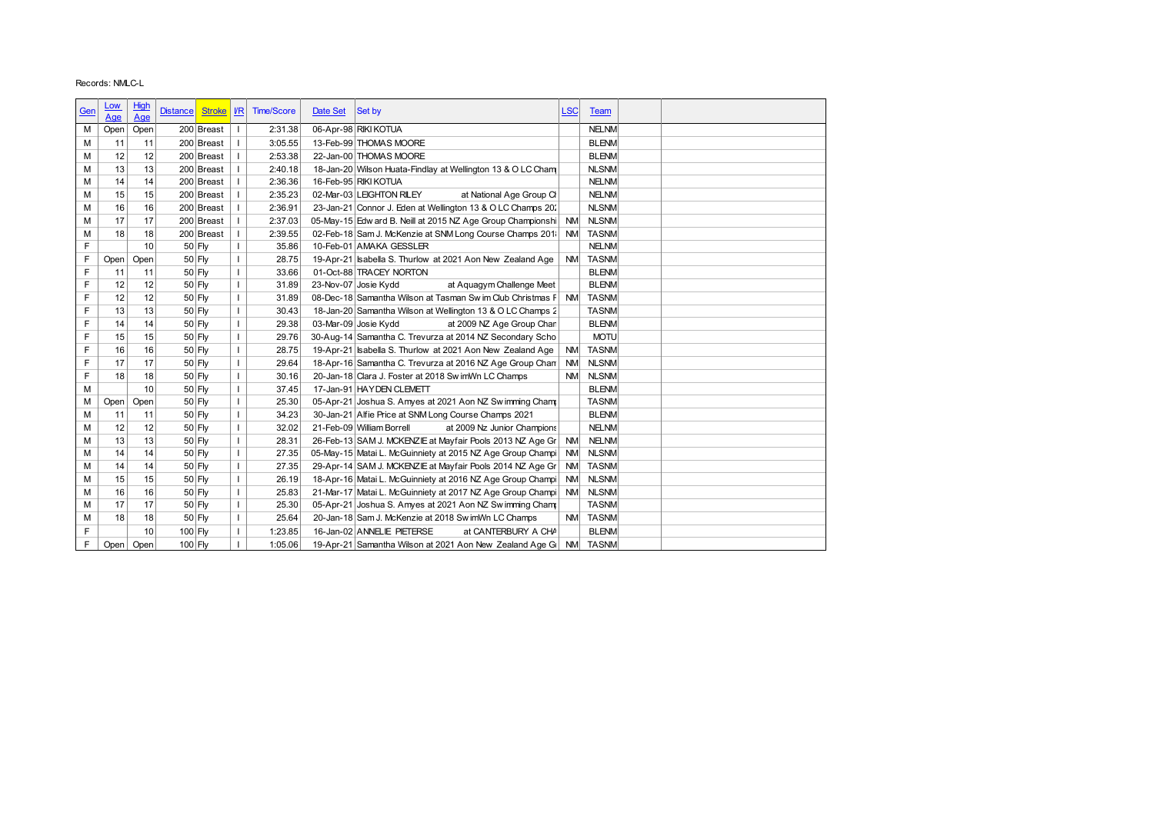|        | Records: NMLC-L          |             |                                  |                              |                   |          |                                                                                                                 |            |                              |  |
|--------|--------------------------|-------------|----------------------------------|------------------------------|-------------------|----------|-----------------------------------------------------------------------------------------------------------------|------------|------------------------------|--|
|        |                          |             |                                  |                              |                   |          |                                                                                                                 |            |                              |  |
| Gen    | <u>Low</u><br><u>Age</u> | High<br>Age | <b>Distance</b><br><b>Stroke</b> | $\underline{\textit{VR}}$    | <b>Time/Score</b> | Date Set | Set by                                                                                                          | <b>LSC</b> | <b>Team</b>                  |  |
| м      | Open                     | Open        | 200 Breast                       | $\overline{1}$               | 2:31.38           |          | 06-Apr-98 RIKI KOTUA                                                                                            |            | <b>NELNM</b>                 |  |
| М      | 11                       | 11          | 200 Breast                       |                              | 3:05.55           |          | 13-Feb-99 THOMAS MOORE                                                                                          |            | <b>BLENM</b>                 |  |
| M      | 12                       | 12          | 200 Breast                       | $\mathbf{I}$                 | 2:53.38           |          | 22-Jan-00 THOMAS MOORE                                                                                          |            | <b>BLENM</b>                 |  |
| М      | 13                       | 13          | 200 Breast                       | $\mathbf{I}$                 | 2:40.18           |          | 18-Jan-20 Wilson Huata-Findlay at Wellington 13 & O LC Cham                                                     |            | <b>NLSNM</b>                 |  |
| M      | 14                       | 14          | 200 Breast                       |                              | 2:36.36           |          | 16-Feb-95 RIKI KOTUA                                                                                            |            | <b>NELNM</b>                 |  |
| M      | 15                       | 15          | 200 Breast                       | $\mathbf{I}$                 | 2:35.23           |          | 02-Mar-03 LEIGHTON RILEY<br>at National Age Group Ch                                                            |            | <b>NELNM</b>                 |  |
| М      | 16                       | 16          | 200 Breast                       | $\mathbf{I}$                 | 2:36.91           |          | 23-Jan-21 Connor J. Eden at Wellington 13 & O LC Champs 201                                                     |            | <b>NLSNM</b>                 |  |
| M      | 17                       | 17          | 200 Breast                       | $\mathbf{I}$                 | 2:37.03           |          | 05-May-15 Edw ard B. Neill at 2015 NZ Age Group Championshi NM                                                  |            | <b>NLSNM</b>                 |  |
| М      | 18                       | 18          | 200 Breast                       | $\mathbf{I}$                 | 2:39.55           |          | 02-Feb-18 Sam J. McKenzie at SNM Long Course Champs 2011 NM                                                     |            | <b>TASNM</b>                 |  |
| F      |                          | 10          | 50 Fly                           | $\mathbf{I}$                 | 35.86             |          | 10-Feb-01 AMAKA GESSLER                                                                                         |            | <b>NELNM</b>                 |  |
| F      | Open                     | Open        | 50 Fly                           | $\overline{1}$               | 28.75             |          | 19-Apr-21 Isabella S. Thurlow at 2021 Aon New Zealand Age                                                       | <b>NM</b>  | <b>TASNM</b>                 |  |
| F      | 11                       | 11          | $50$ Fly                         | $\mathbf{I}$                 | 33.66             |          | 01-Oct-88 TRACEY NORTON                                                                                         |            | <b>BLENM</b>                 |  |
| F      | 12                       | 12          | $50$ Fly                         | $\overline{1}$               | 31.89             |          | 23-Nov-07 Josie Kydd<br>at Aquagym Challenge Meet                                                               |            | <b>BLENM</b>                 |  |
| F<br>F | 12                       | 12          | $50$ Fly                         | $\mathbf{I}$<br>$\mathbf{I}$ | 31.89             |          | 08-Dec-18 Samantha Wilson at Tasman Sw im Club Christmas F NM                                                   |            | <b>TASNM</b>                 |  |
| F      | 13<br>14                 | 13<br>14    | 50 Fly<br>50 Fly                 | $\mathbf{I}$                 | 30.43<br>29.38    |          | 18-Jan-20 Samantha Wilson at Wellington 13 & O LC Champs 2<br>03-Mar-09 Josie Kydd<br>at 2009 NZ Age Group Chan |            | <b>TASNM</b><br><b>BLENM</b> |  |
| F      | 15                       | 15          | 50 Fly                           | $\overline{1}$               | 29.76             |          | 30-Aug-14 Samantha C. Trevurza at 2014 NZ Secondary Scho                                                        |            | <b>MOTU</b>                  |  |
| F      | 16                       | 16          | $50$ Fly                         | $\overline{\phantom{a}}$     | 28.75             |          | 19-Apr-21 Isabella S. Thurlow at 2021 Aon New Zealand Age                                                       | <b>NM</b>  | <b>TASNM</b>                 |  |
| F      | 17                       | 17          | $50$ Fly                         | $\mathbf{I}$                 | 29.64             |          | 18-Apr-16 Samantha C. Trevurza at 2016 NZ Age Group Chan                                                        | <b>NM</b>  | <b>NLSNM</b>                 |  |
| F      | 18                       | 18          | 50 Fly                           | $\mathbf{I}$                 | 30.16             |          | 20-Jan-18 Clara J. Foster at 2018 Sw imWn LC Champs                                                             | <b>NM</b>  | <b>NLSNM</b>                 |  |
| М      |                          | 10          | $50$ Fly                         | $\mathbf{I}$                 | 37.45             |          | 17-Jan-91 HAYDEN CLEMETT                                                                                        |            | <b>BLENM</b>                 |  |
| М      | Open                     | Open        | 50 Fly                           | $\mathbf{I}$                 | 25.30             |          | 05-Apr-21 Joshua S. Amyes at 2021 Aon NZ Swimming Champ                                                         |            | <b>TASNM</b>                 |  |
| M      | 11                       | 11          | 50 Fly                           | $\mathbf{I}$                 | 34.23             |          | 30-Jan-21 Alfie Price at SNM Long Course Champs 2021                                                            |            | <b>BLENM</b>                 |  |
| M      | 12                       | 12          | $50$ Fly                         | $\mathbf{I}$                 | 32.02             |          | 21-Feb-09 William Borrell<br>at 2009 Nz Junior Champions                                                        |            | <b>NELNM</b>                 |  |
| M      | 13                       | 13          | $50$ Fly                         | $\overline{1}$               | 28.31             |          | 26-Feb-13 SAM J. MCKENZIE at Mayfair Pools 2013 NZ Age Gr                                                       | <b>NM</b>  | <b>NELNM</b>                 |  |
| M      | 14                       | 14          | $50$ Fly                         | $\mathbf{I}$                 | 27.35             |          | 05-May-15 Matai L. McGuinniety at 2015 NZ Age Group Champi                                                      | <b>NM</b>  | <b>NLSNM</b>                 |  |
| M      | 14                       | 14          | 50 Fly                           | $\mathbf{I}$                 | 27.35             |          | 29-Apr-14 SAM J. MCKENZIE at Mayfair Pools 2014 NZ Age Gr                                                       | <b>NM</b>  | <b>TASNM</b>                 |  |
| M      | 15                       | 15          | $50$ Fly                         | Τ.<br>$\mathbf{I}$           | 26.19             |          | 18-Apr-16 Matai L. McGuinniety at 2016 NZ Age Group Champi                                                      | NM         | NLSNM                        |  |
| М      | 16                       | 16          | $50$ Fly                         | T                            | 25.83             |          | 21-Mar-17 Matai L. McGuinniety at 2017 NZ Age Group Champi                                                      |            | NM NLSNM                     |  |
| М<br>М | 17<br>18                 | 17<br>18    | $50$ Fly<br>$50$ Fly             | $\mathbf{I}$                 | 25.30<br>25.64    |          | 05-Apr-21 Joshua S. Amyes at 2021 Aon NZ Swimming Cham<br>20-Jan-18 Sam J. McKenzie at 2018 Sw imWn LC Champs   |            | <b>TASNM</b><br>NM TASNM     |  |
| F      |                          | 10          |                                  | $\mathbf{I}$                 | 1:23.85           |          | 16-Jan-02 ANNELIE PIETERSE<br>at CANTERBURY A CHA                                                               |            | <b>BLENM</b>                 |  |
| F.     |                          | Open Open   | $100$ Fly<br>$100$ Fly           |                              | 1:05.06           |          | 19-Apr-21 Samantha Wilson at 2021 Aon New Zealand Age GI NM                                                     |            | <b>TASNM</b>                 |  |
|        |                          |             |                                  |                              |                   |          |                                                                                                                 |            |                              |  |
|        |                          |             |                                  |                              |                   |          |                                                                                                                 |            |                              |  |
|        |                          |             |                                  |                              |                   |          |                                                                                                                 |            |                              |  |
|        |                          |             |                                  |                              |                   |          |                                                                                                                 |            |                              |  |
|        |                          |             |                                  |                              |                   |          |                                                                                                                 |            |                              |  |
|        |                          |             |                                  |                              |                   |          |                                                                                                                 |            |                              |  |
|        |                          |             |                                  |                              |                   |          |                                                                                                                 |            |                              |  |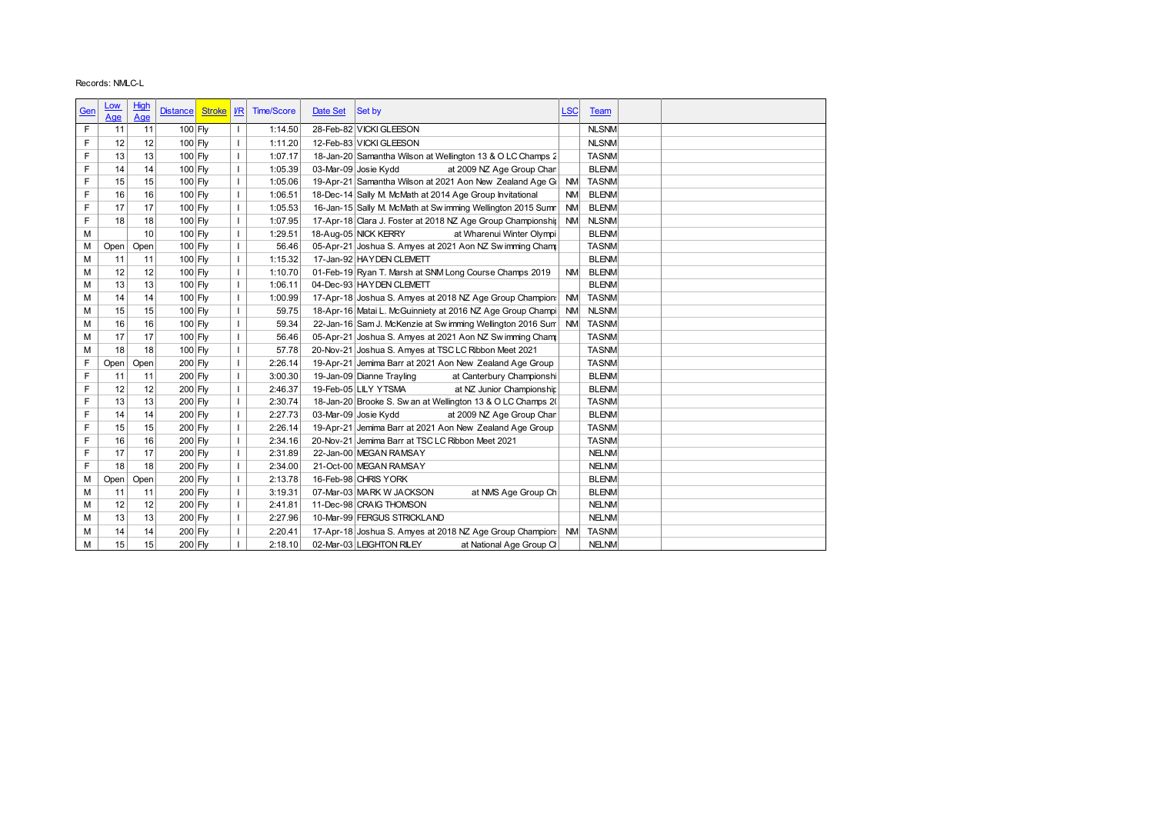|        | Records: NMLC-L |          |                                  |                          |                    |          |                                                                                                                           |            |              |
|--------|-----------------|----------|----------------------------------|--------------------------|--------------------|----------|---------------------------------------------------------------------------------------------------------------------------|------------|--------------|
|        |                 |          |                                  |                          |                    |          |                                                                                                                           |            |              |
| Gen    | <u>Low</u>      | High     | <b>Stroke</b><br><b>Distance</b> | $ $ I/R                  | <b>Time/Score</b>  | Date Set | Set by                                                                                                                    | <b>LSC</b> | <b>Team</b>  |
|        | Age             | Age      |                                  |                          |                    |          |                                                                                                                           |            |              |
| F      | 11              | 11       | 100 Fly                          | $\mathbf{I}$             | 1:14.50            |          | 28-Feb-82 VICKI GLEESON                                                                                                   |            | <b>NLSNM</b> |
| F      | 12              | 12       | $100$ Fly                        | $\overline{\phantom{a}}$ | 1:11.20            |          | 12-Feb-83 VICKI GLEESON                                                                                                   |            | <b>NLSNM</b> |
| F      | 13              | 13       | $100$ Fly                        | $\overline{1}$           | 1:07.17            |          | 18-Jan-20 Samantha Wilson at Wellington 13 & O LC Champs 2                                                                |            | <b>TASNM</b> |
| F      | 14              | 14       | $100$ Fly                        | $\mathbf{I}$             | 1:05.39            |          | 03-Mar-09 Josie Kydd<br>at 2009 NZ Age Group Chan                                                                         |            | <b>BLENM</b> |
| F      | 15              | 15       | $100$ Fly                        | $\mathbf{I}$             | 1:05.06            |          | 19-Apr-21 Samantha Wilson at 2021 Aon New Zealand Age GI                                                                  | <b>NM</b>  | <b>TASNM</b> |
| F      | 16              | 16       | 100 Fly                          | $\mathbf{I}$             | 1:06.51            |          | 18-Dec-14 Sally M. McMath at 2014 Age Group Invitational                                                                  | <b>NM</b>  | <b>BLENM</b> |
| F      | 17              | 17       | 100 Fly                          | $\overline{1}$           | 1:05.53            |          | 16-Jan-15 Sally M. McMath at Sw imming Wellington 2015 Sumn                                                               | <b>NM</b>  | <b>BLENM</b> |
| F      | 18              | 18       | $100$ Fly                        | $\overline{1}$           | 1:07.95            |          | 17-Apr-18 Clara J. Foster at 2018 NZ Age Group Championship                                                               | <b>NM</b>  | <b>NLSNM</b> |
| M      |                 | 10       | $100$ Fly                        | $\overline{1}$           | 1:29.51            |          | 18-Aug-05 NICK KERRY<br>at Wharenui Winter Olympi                                                                         |            | <b>BLENM</b> |
| М      | Open            | Open     | $100$ Fly                        | $\overline{1}$           | 56.46              |          | 05-Apr-21 Joshua S. Amyes at 2021 Aon NZ Swimming Cham                                                                    |            | <b>TASNM</b> |
| M      | 11              | 11       | $100$ Fly                        | $\mathbf{I}$             | 1:15.32            |          | 17-Jan-92 HAYDEN CLEMETT                                                                                                  |            | <b>BLENM</b> |
| М      | 12              | 12       | 100 Fly                          | $\mathbf{I}$             | 1:10.70            |          | 01-Feb-19 Ryan T. Marsh at SNM Long Course Champs 2019                                                                    | <b>NM</b>  | <b>BLENM</b> |
| М      | 13              | 13       | $100$ Fly                        | $\mathbf{I}$             | 1:06.11            |          | 04-Dec-93 HAYDEN CLEMETT                                                                                                  |            | <b>BLENM</b> |
| M      | 14              | 14       | 100 Fly                          | $\overline{1}$           | 1:00.99            |          | 17-Apr-18 Joshua S. Amyes at 2018 NZ Age Group Champion:                                                                  | <b>NM</b>  | <b>TASNM</b> |
| М      | 15              | 15       | $100$ Fly                        | $\mathbf{I}$             | 59.75              |          | 18-Apr-16 Matai L. McGuinniety at 2016 NZ Age Group Champi NM                                                             |            | <b>NLSNM</b> |
| М      | 16              | 16       | $100$ Fly                        | $\overline{1}$           | 59.34              |          | 22-Jan-16 Sam J. McKenzie at Sw imming Wellington 2016 Sum NM                                                             |            | <b>TASNM</b> |
| М      | 17              | 17       | $100$ Fly                        | $\overline{1}$           | 56.46              |          | 05-Apr-21 Joshua S. Amyes at 2021 Aon NZ Swimming Cham                                                                    |            | <b>TASNM</b> |
| М      | 18              | 18       | $100$ Fly                        | $\mathbf{I}$             | 57.78              |          | 20-Nov-21 Joshua S. Amyes at TSC LC Ribbon Meet 2021                                                                      |            | <b>TASNM</b> |
| F      | Open            | Open     | $200$ Fly                        | $\mathbf{I}$             | 2:26.14            |          | 19-Apr-21 Jemima Barr at 2021 Aon New Zealand Age Group                                                                   |            | <b>TASNM</b> |
| F      | 11              | 11       | 200 Fly                          | $\mathbf{I}$             | 3:00.30            |          | 19-Jan-09 Dianne Trayling<br>at Canterbury Championshi                                                                    |            | <b>BLENM</b> |
| F      | 12              | 12       | $200$ Fly                        | $\mathbf{I}$             | 2:46.37            |          | 19-Feb-05 LILY YTSMA<br>at NZ Junior Championship                                                                         |            | <b>BLENM</b> |
| F      | 13              | 13       | $200$ Fly                        | $\overline{1}$           | 2:30.74            |          | 18-Jan-20 Brooke S. Sw an at Wellington 13 & O LC Champs 2(                                                               |            | <b>TASNM</b> |
|        | 14              | 14       | $200$ Fly                        | $\mathbf{I}$             | 2:27.73            |          | 03-Mar-09 Josie Kydd<br>at 2009 NZ Age Group Chan                                                                         |            | <b>BLENM</b> |
| F      |                 | 15       | 200 Fly                          | $\mathbf{I}$             | 2:26.14            |          | 19-Apr-21 Jemima Barr at 2021 Aon New Zealand Age Group                                                                   |            | <b>TASNM</b> |
| F      | 15              |          |                                  |                          |                    |          | 20-Nov-21 Jemima Barr at TSC LC Ribbon Meet 2021                                                                          |            | TASNM∣       |
|        | 16              | 16       | $200$ Fly                        | Τ.                       | 2:34.16            |          |                                                                                                                           |            |              |
| F      | $17$            | 17       | $200$ Fly                        | $\mathbf{I}$             | 2:31.89            |          | 22-Jan-00 MEGAN RAMSAY                                                                                                    |            | <b>NELNM</b> |
| F      | 18              | 18       | $200$ Fly                        | $\mathbf{I}$             | 2:34.00            |          | 21-Oct-00 MEGAN RAMSAY                                                                                                    |            | <b>NELNM</b> |
| М      | Open            | Open     | $200$ Fly                        | $\mathbf{I}$             | 2:13.78            |          | 16-Feb-98 CHRIS YORK                                                                                                      |            | <b>BLENM</b> |
| М      | 11              | 11       | $200$ Fly                        | $\mathbf{I}$             | 3:19.31            |          | 07-Mar-03 MARK W JACKSON<br>at NMS Age Group Ch                                                                           |            | <b>BLENM</b> |
| М      | 12              | 12       | 200 Fly                          | $\mathbf{I}$             | 2:41.81            |          | 11-Dec-98 CRAIG THOMSON                                                                                                   |            | <b>NELNM</b> |
| М      | 13              | 13       | $200$ Fly                        | $\mathbf{I}$             | 2:27.96            |          | 10-Mar-99 FERGUS STRICKLAND                                                                                               |            | <b>NELNM</b> |
| М<br>M | 14<br>15        | 14<br>15 | 200 Fly<br>$200$ Fly             | $\mathbf{I}$             | 2:20.41<br>2:18.10 |          | 17-Apr-18 Joshua S. Amyes at 2018 NZ Age Group Champion: NM TASNM<br>02-Mar-03 LEIGHTON RILEY<br>at National Age Group Cl |            | <b>NELNM</b> |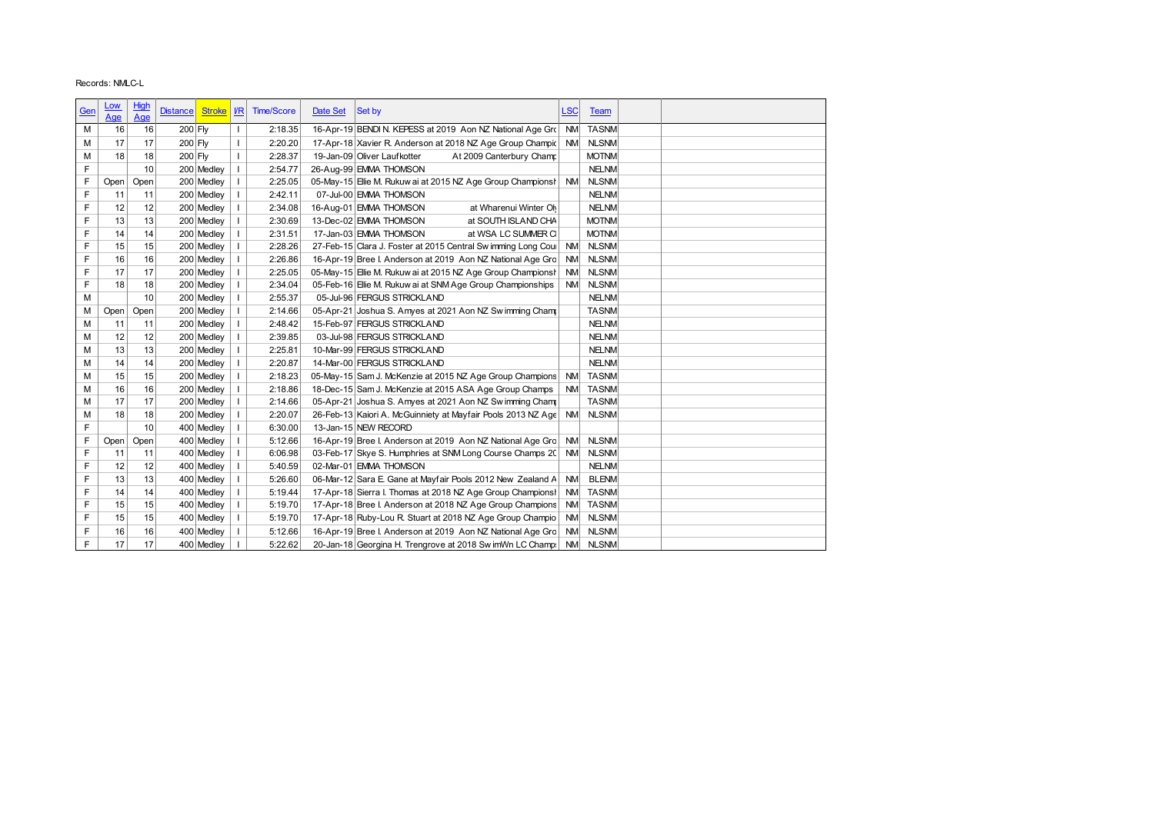|                  | Records: NMLC-L |          |                          |              |                          |                    |          |                                                                                                                             |            |                              |  |
|------------------|-----------------|----------|--------------------------|--------------|--------------------------|--------------------|----------|-----------------------------------------------------------------------------------------------------------------------------|------------|------------------------------|--|
|                  | <u>Low</u>      | High     |                          |              |                          |                    |          |                                                                                                                             |            |                              |  |
| <u>Gen</u>       | Age             | Age      | <b>Distance</b>          | Stroke   I/R |                          | <b>Time/Score</b>  | Date Set | Set by                                                                                                                      | <b>LSC</b> | <b>Team</b>                  |  |
| M                | 16              | 16       | $200$ Fly                |              | $\mathbf{I}$             | 2:18.35            |          | 16-Apr-19 BENDI N. KEPESS at 2019 Aon NZ National Age Gro NM                                                                |            | <b>TASNM</b>                 |  |
| М                | 17              | 17       | 200 Fly                  |              | $\mathbf{I}$             | 2:20.20            |          | 17-Apr-18 Xavier R. Anderson at 2018 NZ Age Group Champic NM                                                                |            | <b>NLSNM</b>                 |  |
| M                | 18              | 18       | $200$ Fly                |              | $\overline{\phantom{a}}$ | 2:28.37            |          | 19-Jan-09 Oliver Laufkotter<br>At 2009 Canterbury Champ                                                                     |            | <b>MOTNM</b>                 |  |
| F                |                 | 10       | 200 Medley               |              | $\mathbf{I}$             | 2:54.77            |          | 26-Aug-99 EMMA THOMSON                                                                                                      |            | <b>NELNM</b>                 |  |
| F                | Open            | Open     | 200 Medley               |              | $\perp$                  | 2:25.05            |          | 05-May-15 Elie M. Rukuw ai at 2015 NZ Age Group Championsh NM                                                               |            | <b>NLSNM</b>                 |  |
| F                | 11              | 11       | 200 Medley               |              | $\overline{1}$           | 2:42.11            |          | 07-Jul-00 EMMA THOMSON                                                                                                      |            | <b>NELNM</b>                 |  |
| F                | 12              | 12       | 200 Medley               |              | $\overline{\phantom{a}}$ | 2:34.08            |          | 16-Aug-01 EMMA THOMSON<br>at Wharenui Winter Oly                                                                            |            | <b>NELNM</b>                 |  |
| F                | 13              | 13       | 200 Medley               |              | $\overline{1}$           | 2:30.69            |          | 13-Dec-02 EMMA THOMSON<br>at SOUTH ISLAND CHA                                                                               |            | <b>MOTNM</b>                 |  |
| F                | 14              | 14       | 200 Medley               |              | $\overline{\phantom{a}}$ | 2:31.51            |          | 17-Jan-03 EMMA THOMSON<br>at WSA LC SUMMER CI                                                                               |            | <b>MOTNM</b>                 |  |
| F                | 15              | 15       | 200 Medley               |              | $\mathbf{I}$             | 2:28.26            |          | 27-Feb-15 Clara J. Foster at 2015 Central Sw imming Long Coul                                                               | <b>NM</b>  | <b>NLSNM</b>                 |  |
| F<br>F           | 16<br>17        | 16<br>17 | 200 Medley<br>200 Medley |              | $\mathbf{I}$             | 2:26.86<br>2:25.05 |          | 16-Apr-19 Bree I. Anderson at 2019 Aon NZ National Age Gro<br>05-May-15 Elie M. Rukuw ai at 2015 NZ Age Group Championsl NM | <b>NM</b>  | <b>NLSNM</b><br><b>NLSNM</b> |  |
| F                | 18              | 18       | 200 Medley               |              | $\perp$                  | 2:34.04            |          | 05-Feb-16 Elie M. Rukuw ai at SNM Age Group Championships                                                                   | <b>NM</b>  | <b>NLSNM</b>                 |  |
| M                |                 | 10       | 200 Medley               |              | $\mathbf{I}$             | 2:55.37            |          | 05-Jul-96 FERGUS STRICKLAND                                                                                                 |            | <b>NELNM</b>                 |  |
| M                | Open            | Open     | 200 Medley               |              | $\overline{1}$           | 2:14.66            |          | 05-Apr-21 Joshua S. Amyes at 2021 Aon NZ Sw imming Cham                                                                     |            | <b>TASNM</b>                 |  |
| M                | 11              | 11       | 200 Medley               |              | $\overline{\phantom{a}}$ | 2:48.42            |          | 15-Feb-97 FERGUS STRICKLAND                                                                                                 |            | <b>NELNM</b>                 |  |
| M                | 12              | 12       | 200 Medley               |              | $\perp$                  | 2:39.85            |          | 03-Jul-98 FERGUS STRICKLAND                                                                                                 |            | <b>NELNM</b>                 |  |
| M                | 13              | 13       | 200 Medley               |              | $\mathbf{I}$             | 2:25.81            |          | 10-Mar-99 FERGUS STRICKLAND                                                                                                 |            | <b>NELNM</b>                 |  |
| M                | 14              | 14       | 200 Medley               |              | $\perp$                  | 2:20.87            |          | 14-Mar-00 FERGUS STRICKLAND                                                                                                 |            | <b>NELNM</b>                 |  |
| M                | 15              | 15       | 200 Medley               |              | $\mathbf{I}$             | 2:18.23            |          | 05-May-15 Sam J. McKenzie at 2015 NZ Age Group Champions                                                                    | <b>NM</b>  | <b>TASNM</b>                 |  |
| M                | 16              | 16       | 200 Medley               |              | $\overline{\phantom{a}}$ | 2:18.86            |          | 18-Dec-15 Sam J. McKenzie at 2015 ASA Age Group Champs                                                                      | <b>NM</b>  | <b>TASNM</b>                 |  |
| M                | 17              | 17       | 200 Medley               |              | $\mathbf{I}$             | 2:14.66            |          | 05-Apr-21 Joshua S. Amyes at 2021 Aon NZ Sw imming Champ                                                                    |            | <b>TASNM</b>                 |  |
| M                | 18              | 18       | 200 Medley               |              |                          | 2:20.07            |          | 26-Feb-13 Kaiori A. McGuinniety at Mayfair Pools 2013 NZ Age                                                                | <b>NM</b>  | <b>NLSNM</b>                 |  |
| F                |                 | 10       | 400 Medley               |              | $\mathbf{I}$             | 6:30.00            |          | 13-Jan-15 NEW RECORD                                                                                                        |            |                              |  |
| F                | Open            | Open     | 400 Medley               |              | -1                       | 5:12.66            |          | 16-Apr-19 Bree I. Anderson at 2019 Aon NZ National Age Gro                                                                  | NM.        | <b>NLSNM</b>                 |  |
| F<br>F           | 11<br>12        | 11<br>12 | 400 Medley               | 400 Medley   | $\mathbf{I}$             | 6:06.98<br>5:40.59 |          | 03-Feb-17 Skye S. Humphries at SNM Long Course Champs 20 NM<br>02-Mar-01 EMMA THOMSON                                       |            | <b>NLSNM</b><br><b>NELNM</b> |  |
| F                | 13              | 13       |                          | 400 Medley   | $\perp$                  | 5:26.60            |          | 06-Mar-12 Sara E. Gane at Mayfair Pools 2012 New Zealand A NM                                                               |            | <b>BLENM</b>                 |  |
| F                | 14              | 14       |                          | 400 Medley   | -1                       | 5:19.44            |          | 17-Apr-18 Sierra I. Thomas at 2018 NZ Age Group Champions NM                                                                |            | <b>TASNM</b>                 |  |
| $\mathsf F$      | 15              | 15       | 400 Medley               |              |                          | 5:19.70            |          | 17-Apr-18 Bree I. Anderson at 2018 NZ Age Group Champions NM                                                                |            | <b>TASNM</b>                 |  |
| F                | 15              | 15       |                          | 400 Medley   | $\blacksquare$           | 5:19.70            |          | 17-Apr-18 Ruby-Lou R. Stuart at 2018 NZ Age Group Champio NM                                                                |            | <b>NLSNM</b>                 |  |
|                  | 16              | 16       | 400 Medley               |              |                          | 5:12.66            |          | 16-Apr-19 Bree I. Anderson at 2019 Aon NZ National Age Gro NM                                                               |            | <b>NLSNM</b>                 |  |
|                  |                 | 17       | 400 Medley               |              | - 1                      | 5:22.62            |          | 20-Jan-18 Georgina H. Trengrove at 2018 Sw imWn LC Champ: NM                                                                |            | <b>NLSNM</b>                 |  |
| $\mathsf F$<br>F | 17              |          |                          |              |                          |                    |          |                                                                                                                             |            |                              |  |